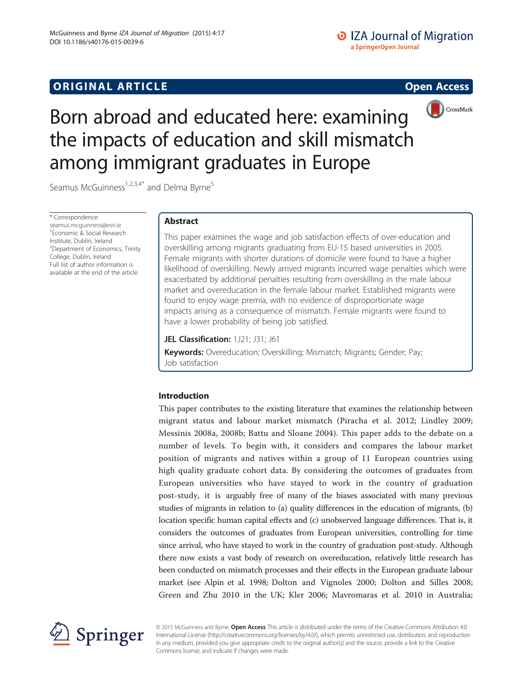# **ORIGINAL ARTICLE CONSUMING A LIGACION** CONSUMING A LIGACION CONSUMING A LIGACION CONSUMING A LIGACION CONSUMING A LIGACION CONSUMING A LIGACION CONSUMING A LIGACION CONSUMING A LIGACION CONSUMING A LIGACION CONSUMING A

CrossMark



Seamus McGuinness<sup>1,2,3,4\*</sup> and Delma Byrne<sup>5</sup>

\* Correspondence: [seamus.mcguinness@esri.ie](mailto:seamus.mcguinness@esri.ie) 1 Economic & Social Research Institute, Dublin, Ireland <sup>2</sup>Department of Economics, Trinity College, Dublin, Ireland Full list of author information is available at the end of the article

# Abstract

This paper examines the wage and job satisfaction effects of over-education and overskilling among migrants graduating from EU-15 based universities in 2005. Female migrants with shorter durations of domicile were found to have a higher likelihood of overskilling. Newly arrived migrants incurred wage penalties which were exacerbated by additional penalties resulting from overskilling in the male labour market and overeducation in the female labour market. Established migrants were found to enjoy wage premia, with no evidence of disproportionate wage impacts arising as a consequence of mismatch. Female migrants were found to have a lower probability of being job satisfied.

JEL Classification: 1J21; J31; J61

Keywords: Overeducation; Overskilling; Mismatch; Migrants; Gender; Pay; Job satisfaction

## Introduction

This paper contributes to the existing literature that examines the relationship between migrant status and labour market mismatch (Piracha et al. [2012](#page-29-0); Lindley [2009](#page-28-0); Messinis [2008a](#page-29-0), [2008b](#page-29-0); Battu and Sloane [2004\)](#page-28-0). This paper adds to the debate on a number of levels. To begin with, it considers and compares the labour market position of migrants and natives within a group of 11 European countries using high quality graduate cohort data. By considering the outcomes of graduates from European universities who have stayed to work in the country of graduation post-study, it is arguably free of many of the biases associated with many previous studies of migrants in relation to (a) quality differences in the education of migrants, (b) location specific human capital effects and (c) unobserved language differences. That is, it considers the outcomes of graduates from European universities, controlling for time since arrival, who have stayed to work in the country of graduation post-study. Although there now exists a vast body of research on overeducation, relatively little research has been conducted on mismatch processes and their effects in the European graduate labour market (see Alpin et al. [1998](#page-28-0); Dolton and Vignoles [2000](#page-28-0); Dolton and Silles [2008](#page-28-0); Green and Zhu [2010](#page-28-0) in the UK; Kler [2006](#page-28-0); Mavromaras et al. [2010](#page-29-0) in Australia;



© 2015 McGuinness and Byrne. Open Access This article is distributed under the terms of the Creative Commons Attribution 4.0 International License [\(http://creativecommons.org/licenses/by/4.0/](http://creativecommons.org/licenses/by/4.0/)), which permits unrestricted use, distribution, and reproduction in any medium, provided you give appropriate credit to the original author(s) and the source, provide a link to the Creative Commons license, and indicate if changes were made.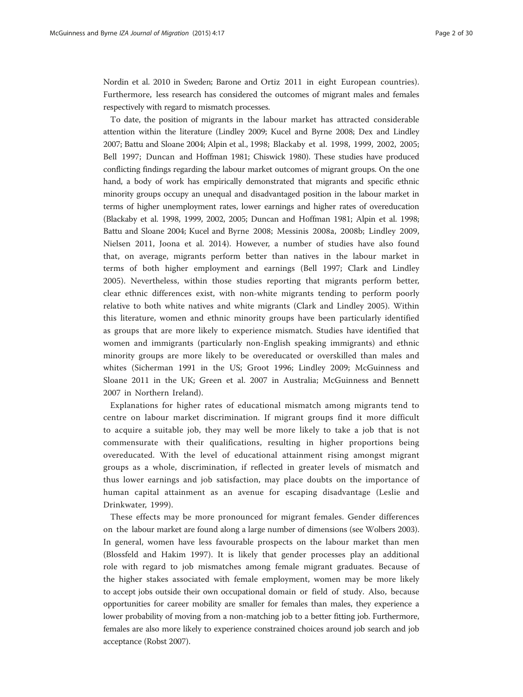Nordin et al. [2010](#page-29-0) in Sweden; Barone and Ortiz [2011](#page-28-0) in eight European countries). Furthermore, less research has considered the outcomes of migrant males and females respectively with regard to mismatch processes.

To date, the position of migrants in the labour market has attracted considerable attention within the literature (Lindley [2009](#page-28-0); Kucel and Byrne [2008;](#page-28-0) Dex and Lindley [2007;](#page-28-0) Battu and Sloane [2004;](#page-28-0) Alpin et al., [1998;](#page-28-0) Blackaby et al. [1998, 1999](#page-28-0), [2002](#page-28-0), [2005](#page-28-0); Bell [1997;](#page-28-0) Duncan and Hoffman [1981;](#page-28-0) Chiswick [1980](#page-28-0)). These studies have produced conflicting findings regarding the labour market outcomes of migrant groups. On the one hand, a body of work has empirically demonstrated that migrants and specific ethnic minority groups occupy an unequal and disadvantaged position in the labour market in terms of higher unemployment rates, lower earnings and higher rates of overeducation (Blackaby et al. [1998, 1999](#page-28-0), [2002](#page-28-0), [2005;](#page-28-0) Duncan and Hoffman [1981](#page-28-0); Alpin et al. [1998](#page-28-0); Battu and Sloane [2004;](#page-28-0) Kucel and Byrne [2008;](#page-28-0) Messinis [2008a](#page-29-0), [2008b](#page-29-0); Lindley [2009](#page-28-0), Nielsen [2011](#page-29-0), Joona et al. [2014\)](#page-28-0). However, a number of studies have also found that, on average, migrants perform better than natives in the labour market in terms of both higher employment and earnings (Bell [1997;](#page-28-0) Clark and Lindley [2005\)](#page-28-0). Nevertheless, within those studies reporting that migrants perform better, clear ethnic differences exist, with non-white migrants tending to perform poorly relative to both white natives and white migrants (Clark and Lindley [2005\)](#page-28-0). Within this literature, women and ethnic minority groups have been particularly identified as groups that are more likely to experience mismatch. Studies have identified that women and immigrants (particularly non-English speaking immigrants) and ethnic minority groups are more likely to be overeducated or overskilled than males and whites (Sicherman [1991](#page-29-0) in the US; Groot [1996](#page-28-0); Lindley [2009](#page-28-0); McGuinness and Sloane [2011](#page-29-0) in the UK; Green et al. [2007](#page-28-0) in Australia; McGuinness and Bennett [2007](#page-29-0) in Northern Ireland).

Explanations for higher rates of educational mismatch among migrants tend to centre on labour market discrimination. If migrant groups find it more difficult to acquire a suitable job, they may well be more likely to take a job that is not commensurate with their qualifications, resulting in higher proportions being overeducated. With the level of educational attainment rising amongst migrant groups as a whole, discrimination, if reflected in greater levels of mismatch and thus lower earnings and job satisfaction, may place doubts on the importance of human capital attainment as an avenue for escaping disadvantage (Leslie and Drinkwater, [1999\)](#page-28-0).

These effects may be more pronounced for migrant females. Gender differences on the labour market are found along a large number of dimensions (see Wolbers [2003](#page-29-0)). In general, women have less favourable prospects on the labour market than men (Blossfeld and Hakim [1997](#page-28-0)). It is likely that gender processes play an additional role with regard to job mismatches among female migrant graduates. Because of the higher stakes associated with female employment, women may be more likely to accept jobs outside their own occupational domain or field of study. Also, because opportunities for career mobility are smaller for females than males, they experience a lower probability of moving from a non-matching job to a better fitting job. Furthermore, females are also more likely to experience constrained choices around job search and job acceptance (Robst [2007\)](#page-29-0).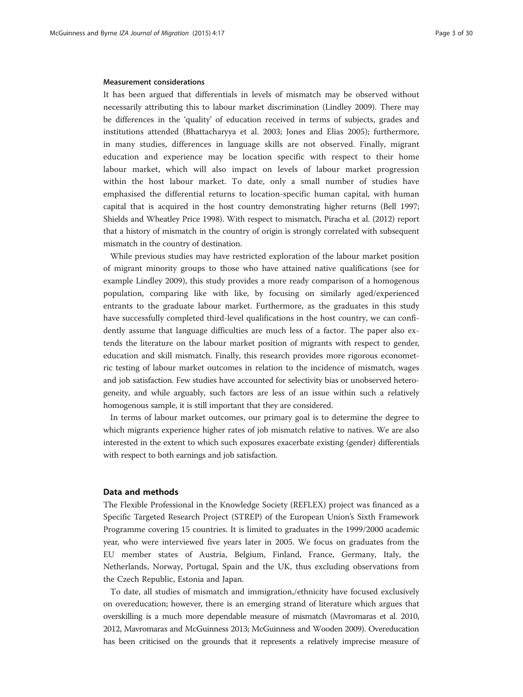#### Measurement considerations

It has been argued that differentials in levels of mismatch may be observed without necessarily attributing this to labour market discrimination (Lindley [2009\)](#page-28-0). There may be differences in the 'quality' of education received in terms of subjects, grades and institutions attended (Bhattacharyya et al. [2003](#page-28-0); Jones and Elias [2005\)](#page-28-0); furthermore, in many studies, differences in language skills are not observed. Finally, migrant education and experience may be location specific with respect to their home labour market, which will also impact on levels of labour market progression within the host labour market. To date, only a small number of studies have emphasised the differential returns to location-specific human capital, with human capital that is acquired in the host country demonstrating higher returns (Bell [1997](#page-28-0); Shields and Wheatley Price [1998](#page-29-0)). With respect to mismatch, Piracha et al. [\(2012\)](#page-29-0) report that a history of mismatch in the country of origin is strongly correlated with subsequent mismatch in the country of destination.

While previous studies may have restricted exploration of the labour market position of migrant minority groups to those who have attained native qualifications (see for example Lindley [2009\)](#page-28-0), this study provides a more ready comparison of a homogenous population, comparing like with like, by focusing on similarly aged/experienced entrants to the graduate labour market. Furthermore, as the graduates in this study have successfully completed third-level qualifications in the host country, we can confidently assume that language difficulties are much less of a factor. The paper also extends the literature on the labour market position of migrants with respect to gender, education and skill mismatch. Finally, this research provides more rigorous econometric testing of labour market outcomes in relation to the incidence of mismatch, wages and job satisfaction. Few studies have accounted for selectivity bias or unobserved heterogeneity, and while arguably, such factors are less of an issue within such a relatively homogenous sample, it is still important that they are considered.

In terms of labour market outcomes, our primary goal is to determine the degree to which migrants experience higher rates of job mismatch relative to natives. We are also interested in the extent to which such exposures exacerbate existing (gender) differentials with respect to both earnings and job satisfaction.

## Data and methods

The Flexible Professional in the Knowledge Society (REFLEX) project was financed as a Specific Targeted Research Project (STREP) of the European Union's Sixth Framework Programme covering 15 countries. It is limited to graduates in the 1999/2000 academic year, who were interviewed five years later in 2005. We focus on graduates from the EU member states of Austria, Belgium, Finland, France, Germany, Italy, the Netherlands, Norway, Portugal, Spain and the UK, thus excluding observations from the Czech Republic, Estonia and Japan.

To date, all studies of mismatch and immigration,/ethnicity have focused exclusively on overeducation; however, there is an emerging strand of literature which argues that overskilling is a much more dependable measure of mismatch (Mavromaras et al. [2010](#page-29-0), 2012, Mavromaras and McGuinness [2013;](#page-29-0) McGuinness and Wooden [2009\)](#page-29-0). Overeducation has been criticised on the grounds that it represents a relatively imprecise measure of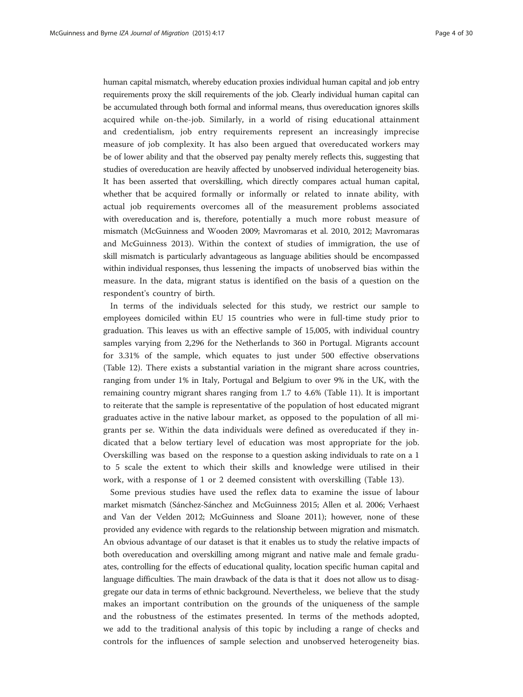human capital mismatch, whereby education proxies individual human capital and job entry requirements proxy the skill requirements of the job. Clearly individual human capital can be accumulated through both formal and informal means, thus overeducation ignores skills acquired while on-the-job. Similarly, in a world of rising educational attainment and credentialism, job entry requirements represent an increasingly imprecise measure of job complexity. It has also been argued that overeducated workers may be of lower ability and that the observed pay penalty merely reflects this, suggesting that studies of overeducation are heavily affected by unobserved individual heterogeneity bias. It has been asserted that overskilling, which directly compares actual human capital, whether that be acquired formally or informally or related to innate ability, with actual job requirements overcomes all of the measurement problems associated with overeducation and is, therefore, potentially a much more robust measure of mismatch (McGuinness and Wooden [2009;](#page-29-0) Mavromaras et al. [2010](#page-29-0), 2012; Mavromaras and McGuinness 2013). Within the context of studies of immigration, the use of skill mismatch is particularly advantageous as language abilities should be encompassed within individual responses, thus lessening the impacts of unobserved bias within the measure. In the data, migrant status is identified on the basis of a question on the respondent's country of birth.

In terms of the individuals selected for this study, we restrict our sample to employees domiciled within EU 15 countries who were in full-time study prior to graduation. This leaves us with an effective sample of 15,005, with individual country samples varying from 2,296 for the Netherlands to 360 in Portugal. Migrants account for 3.31% of the sample, which equates to just under 500 effective observations (Table [12\)](#page-26-0). There exists a substantial variation in the migrant share across countries, ranging from under 1% in Italy, Portugal and Belgium to over 9% in the UK, with the remaining country migrant shares ranging from 1.7 to 4.6% (Table [11](#page-24-0)). It is important to reiterate that the sample is representative of the population of host educated migrant graduates active in the native labour market, as opposed to the population of all migrants per se. Within the data individuals were defined as overeducated if they indicated that a below tertiary level of education was most appropriate for the job. Overskilling was based on the response to a question asking individuals to rate on a 1 to 5 scale the extent to which their skills and knowledge were utilised in their work, with a response of 1 or 2 deemed consistent with overskilling (Table [13\)](#page-27-0).

Some previous studies have used the reflex data to examine the issue of labour market mismatch (Sánchez-Sánchez and McGuinness [2015](#page-29-0); Allen et al. [2006](#page-28-0); Verhaest and Van der Velden [2012](#page-29-0); McGuinness and Sloane [2011](#page-29-0)); however, none of these provided any evidence with regards to the relationship between migration and mismatch. An obvious advantage of our dataset is that it enables us to study the relative impacts of both overeducation and overskilling among migrant and native male and female graduates, controlling for the effects of educational quality, location specific human capital and language difficulties. The main drawback of the data is that it does not allow us to disaggregate our data in terms of ethnic background. Nevertheless, we believe that the study makes an important contribution on the grounds of the uniqueness of the sample and the robustness of the estimates presented. In terms of the methods adopted, we add to the traditional analysis of this topic by including a range of checks and controls for the influences of sample selection and unobserved heterogeneity bias.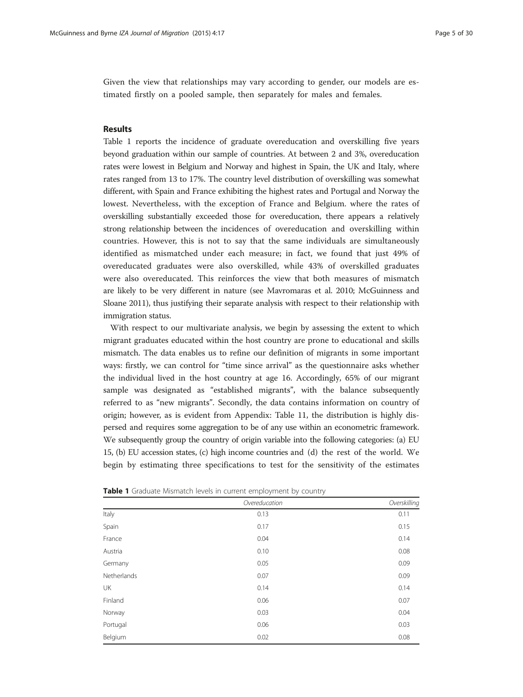Given the view that relationships may vary according to gender, our models are estimated firstly on a pooled sample, then separately for males and females.

## Results

Table 1 reports the incidence of graduate overeducation and overskilling five years beyond graduation within our sample of countries. At between 2 and 3%, overeducation rates were lowest in Belgium and Norway and highest in Spain, the UK and Italy, where rates ranged from 13 to 17%. The country level distribution of overskilling was somewhat different, with Spain and France exhibiting the highest rates and Portugal and Norway the lowest. Nevertheless, with the exception of France and Belgium. where the rates of overskilling substantially exceeded those for overeducation, there appears a relatively strong relationship between the incidences of overeducation and overskilling within countries. However, this is not to say that the same individuals are simultaneously identified as mismatched under each measure; in fact, we found that just 49% of overeducated graduates were also overskilled, while 43% of overskilled graduates were also overeducated. This reinforces the view that both measures of mismatch are likely to be very different in nature (see Mavromaras et al. [2010](#page-29-0); McGuinness and Sloane [2011](#page-29-0)), thus justifying their separate analysis with respect to their relationship with immigration status.

With respect to our multivariate analysis, we begin by assessing the extent to which migrant graduates educated within the host country are prone to educational and skills mismatch. The data enables us to refine our definition of migrants in some important ways: firstly, we can control for "time since arrival" as the questionnaire asks whether the individual lived in the host country at age 16. Accordingly, 65% of our migrant sample was designated as "established migrants", with the balance subsequently referred to as "new migrants". Secondly, the data contains information on country of origin; however, as is evident from [Appendix: Table 11](#page-24-0), the distribution is highly dispersed and requires some aggregation to be of any use within an econometric framework. We subsequently group the country of origin variable into the following categories: (a) EU 15, (b) EU accession states, (c) high income countries and (d) the rest of the world. We begin by estimating three specifications to test for the sensitivity of the estimates

|             | Overeducation | Overskilling |
|-------------|---------------|--------------|
| Italy       | 0.13          | 0.11         |
| Spain       | 0.17          | 0.15         |
| France      | 0.04          | 0.14         |
| Austria     | 0.10          | 0.08         |
| Germany     | 0.05          | 0.09         |
| Netherlands | 0.07          | 0.09         |
| UK          | 0.14          | 0.14         |
| Finland     | 0.06          | 0.07         |
| Norway      | 0.03          | 0.04         |
| Portugal    | 0.06          | 0.03         |
| Belgium     | 0.02          | 0.08         |

Table 1 Graduate Mismatch levels in current employment by country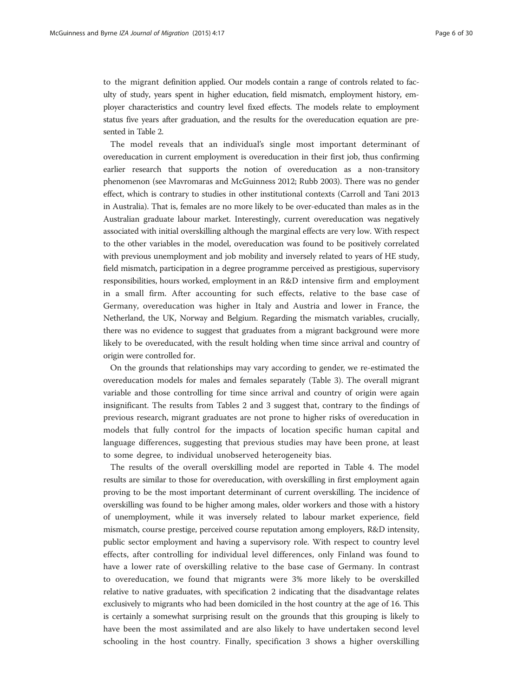to the migrant definition applied. Our models contain a range of controls related to faculty of study, years spent in higher education, field mismatch, employment history, employer characteristics and country level fixed effects. The models relate to employment status five years after graduation, and the results for the overeducation equation are presented in Table [2](#page-6-0).

The model reveals that an individual's single most important determinant of overeducation in current employment is overeducation in their first job, thus confirming earlier research that supports the notion of overeducation as a non-transitory phenomenon (see Mavromaras and McGuinness [2012;](#page-28-0) Rubb [2003](#page-29-0)). There was no gender effect, which is contrary to studies in other institutional contexts (Carroll and Tani [2013](#page-28-0) in Australia). That is, females are no more likely to be over-educated than males as in the Australian graduate labour market. Interestingly, current overeducation was negatively associated with initial overskilling although the marginal effects are very low. With respect to the other variables in the model, overeducation was found to be positively correlated with previous unemployment and job mobility and inversely related to years of HE study, field mismatch, participation in a degree programme perceived as prestigious, supervisory responsibilities, hours worked, employment in an R&D intensive firm and employment in a small firm. After accounting for such effects, relative to the base case of Germany, overeducation was higher in Italy and Austria and lower in France, the Netherland, the UK, Norway and Belgium. Regarding the mismatch variables, crucially, there was no evidence to suggest that graduates from a migrant background were more likely to be overeducated, with the result holding when time since arrival and country of origin were controlled for.

On the grounds that relationships may vary according to gender, we re-estimated the overeducation models for males and females separately (Table [3\)](#page-8-0). The overall migrant variable and those controlling for time since arrival and country of origin were again insignificant. The results from Tables [2](#page-6-0) and [3](#page-8-0) suggest that, contrary to the findings of previous research, migrant graduates are not prone to higher risks of overeducation in models that fully control for the impacts of location specific human capital and language differences, suggesting that previous studies may have been prone, at least to some degree, to individual unobserved heterogeneity bias.

The results of the overall overskilling model are reported in Table [4](#page-9-0). The model results are similar to those for overeducation, with overskilling in first employment again proving to be the most important determinant of current overskilling. The incidence of overskilling was found to be higher among males, older workers and those with a history of unemployment, while it was inversely related to labour market experience, field mismatch, course prestige, perceived course reputation among employers, R&D intensity, public sector employment and having a supervisory role. With respect to country level effects, after controlling for individual level differences, only Finland was found to have a lower rate of overskilling relative to the base case of Germany. In contrast to overeducation, we found that migrants were 3% more likely to be overskilled relative to native graduates, with specification 2 indicating that the disadvantage relates exclusively to migrants who had been domiciled in the host country at the age of 16. This is certainly a somewhat surprising result on the grounds that this grouping is likely to have been the most assimilated and are also likely to have undertaken second level schooling in the host country. Finally, specification 3 shows a higher overskilling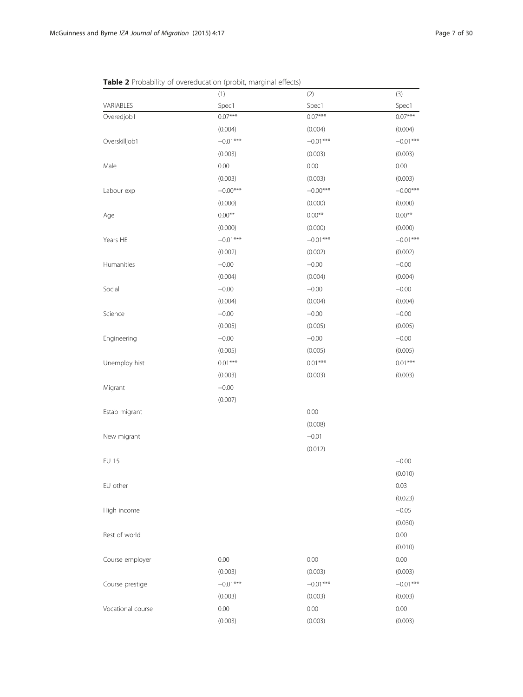|                   | <b>Table 2</b> Probability of overeducation (probit, marginal effects)<br>(1) | (2)        | (3)        |
|-------------------|-------------------------------------------------------------------------------|------------|------------|
| VARIABLES         | Spec1                                                                         | Spec1      | Spec1      |
| Overedjob1        | $0.07***$                                                                     | $0.07***$  | $0.07***$  |
|                   | (0.004)                                                                       | (0.004)    | (0.004)    |
| Overskilljob1     | $-0.01***$                                                                    | $-0.01***$ | $-0.01***$ |
|                   | (0.003)                                                                       | (0.003)    | (0.003)    |
| Male              | 0.00                                                                          | 0.00       | 0.00       |
|                   | (0.003)                                                                       | (0.003)    | (0.003)    |
| Labour exp        | $-0.00***$                                                                    | $-0.00***$ | $-0.00***$ |
|                   | (0.000)                                                                       | (0.000)    | (0.000)    |
| Age               | $0.00**$                                                                      | $0.00**$   | $0.00**$   |
|                   | (0.000)                                                                       | (0.000)    | (0.000)    |
| Years HE          | $-0.01***$                                                                    | $-0.01***$ | $-0.01***$ |
|                   | (0.002)                                                                       | (0.002)    | (0.002)    |
| Humanities        | $-0.00$                                                                       | $-0.00$    | $-0.00$    |
|                   | (0.004)                                                                       | (0.004)    | (0.004)    |
| Social            | $-0.00$                                                                       | $-0.00$    | $-0.00$    |
|                   | (0.004)                                                                       | (0.004)    | (0.004)    |
| Science           | $-0.00$                                                                       | $-0.00$    | $-0.00$    |
|                   | (0.005)                                                                       | (0.005)    | (0.005)    |
| Engineering       | $-0.00$                                                                       | $-0.00$    | $-0.00$    |
|                   | (0.005)                                                                       | (0.005)    | (0.005)    |
| Unemploy hist     | $0.01***$                                                                     | $0.01***$  | $0.01***$  |
|                   | (0.003)                                                                       | (0.003)    | (0.003)    |
| Migrant           | $-0.00$                                                                       |            |            |
|                   | (0.007)                                                                       |            |            |
| Estab migrant     |                                                                               | 0.00       |            |
|                   |                                                                               | (0.008)    |            |
| New migrant       |                                                                               | $-0.01$    |            |
|                   |                                                                               | (0.012)    |            |
| EU 15             |                                                                               |            | $-0.00$    |
|                   |                                                                               |            | (0.010)    |
| EU other          |                                                                               |            | 0.03       |
|                   |                                                                               |            | (0.023)    |
| High income       |                                                                               |            | $-0.05$    |
|                   |                                                                               |            | (0.030)    |
| Rest of world     |                                                                               |            | 0.00       |
|                   |                                                                               |            | (0.010)    |
| Course employer   | 0.00                                                                          | 0.00       | 0.00       |
|                   | (0.003)                                                                       | (0.003)    | (0.003)    |
| Course prestige   | $-0.01***$                                                                    | $-0.01***$ | $-0.01***$ |
|                   | (0.003)                                                                       | (0.003)    | (0.003)    |
| Vocational course | 0.00                                                                          | 0.00       | 0.00       |
|                   | (0.003)                                                                       | (0.003)    | (0.003)    |

<span id="page-6-0"></span>

|  |  | Table 2 Probability of overeducation (probit, marginal effects) |  |  |  |
|--|--|-----------------------------------------------------------------|--|--|--|
|--|--|-----------------------------------------------------------------|--|--|--|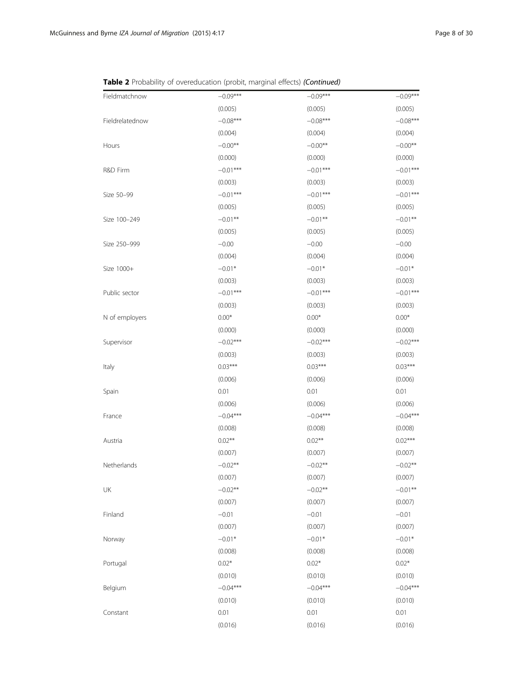| Fieldmatchnow   | $-0.09***$ | $-0.09***$ | $-0.09***$ |
|-----------------|------------|------------|------------|
|                 | (0.005)    | (0.005)    | (0.005)    |
| Fieldrelatednow | $-0.08***$ | $-0.08***$ | $-0.08***$ |
|                 | (0.004)    | (0.004)    | (0.004)    |
| Hours           | $-0.00**$  | $-0.00**$  | $-0.00**$  |
|                 | (0.000)    | (0.000)    | (0.000)    |
| R&D Firm        | $-0.01***$ | $-0.01***$ | $-0.01***$ |
|                 | (0.003)    | (0.003)    | (0.003)    |
| Size 50-99      | $-0.01***$ | $-0.01***$ | $-0.01***$ |
|                 | (0.005)    | (0.005)    | (0.005)    |
| Size 100-249    | $-0.01**$  | $-0.01***$ | $-0.01**$  |
|                 | (0.005)    | (0.005)    | (0.005)    |
| Size 250-999    | $-0.00$    | $-0.00$    | $-0.00$    |
|                 | (0.004)    | (0.004)    | (0.004)    |
| Size 1000+      | $-0.01*$   | $-0.01*$   | $-0.01*$   |
|                 | (0.003)    | (0.003)    | (0.003)    |
| Public sector   | $-0.01***$ | $-0.01***$ | $-0.01***$ |
|                 | (0.003)    | (0.003)    | (0.003)    |
| N of employers  | $0.00*$    | $0.00*$    | $0.00*$    |
|                 | (0.000)    | (0.000)    | (0.000)    |
| Supervisor      | $-0.02***$ | $-0.02***$ | $-0.02***$ |
|                 | (0.003)    | (0.003)    | (0.003)    |
| Italy           | $0.03***$  | $0.03***$  | $0.03***$  |
|                 | (0.006)    | (0.006)    | (0.006)    |
| Spain           | 0.01       | 0.01       | 0.01       |
|                 | (0.006)    | (0.006)    | (0.006)    |
| France          | $-0.04***$ | $-0.04***$ | $-0.04***$ |
|                 | (0.008)    | (0.008)    | (0.008)    |
| Austria         | $0.02**$   | $0.02**$   | $0.02***$  |
|                 | (0.007)    | (0.007)    | (0.007)    |
| Netherlands     | $-0.02**$  | $-0.02**$  | $-0.02**$  |
|                 | (0.007)    | (0.007)    | (0.007)    |
| UK              | $-0.02**$  | $-0.02**$  | $-0.01**$  |
|                 | (0.007)    | (0.007)    | (0.007)    |
| Finland         | $-0.01$    | $-0.01$    | $-0.01$    |
|                 | (0.007)    | (0.007)    | (0.007)    |
| Norway          | $-0.01*$   | $-0.01*$   | $-0.01*$   |
|                 | (0.008)    | (0.008)    | (0.008)    |
| Portugal        | $0.02*$    | $0.02*$    | $0.02*$    |
|                 | (0.010)    | (0.010)    | (0.010)    |
| Belgium         | $-0.04***$ | $-0.04***$ | $-0.04***$ |
|                 | (0.010)    | (0.010)    | (0.010)    |
| Constant        | 0.01       | 0.01       | 0.01       |
|                 | (0.016)    | (0.016)    | (0.016)    |

Table 2 Probability of overeducation (probit, marginal effects) (Continued)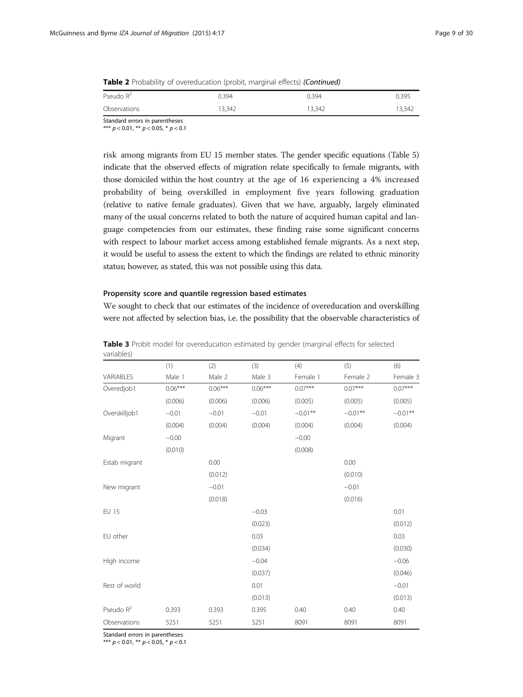<span id="page-8-0"></span>

|  | Table 2 Probability of overeducation (probit, marginal effects) (Continued) |
|--|-----------------------------------------------------------------------------|
|--|-----------------------------------------------------------------------------|

| Pseudo $R^2$ | 0.394 | 0.394  | 0.395  |
|--------------|-------|--------|--------|
| Observations | 3,342 | 13,342 | 13,342 |

\*\*\*  $p < 0.01$ , \*\*  $p < 0.05$ , \*  $p < 0.1$ 

risk among migrants from EU 15 member states. The gender specific equations (Table [5](#page-11-0)) indicate that the observed effects of migration relate specifically to female migrants, with those domiciled within the host country at the age of 16 experiencing a 4% increased probability of being overskilled in employment five years following graduation (relative to native female graduates). Given that we have, arguably, largely eliminated many of the usual concerns related to both the nature of acquired human capital and language competencies from our estimates, these finding raise some significant concerns with respect to labour market access among established female migrants. As a next step, it would be useful to assess the extent to which the findings are related to ethnic minority status; however, as stated, this was not possible using this data.

## Propensity score and quantile regression based estimates

We sought to check that our estimates of the incidence of overeducation and overskilling were not affected by selection bias, i.e. the possibility that the observable characteristics of

|                       | (1)       | (2)       | (3)       | (4)        | (5)       | (6)       |
|-----------------------|-----------|-----------|-----------|------------|-----------|-----------|
| VARIABLES             | Male 1    | Male 2    | Male 3    | Female 1   | Female 2  | Female 3  |
|                       |           |           |           |            |           |           |
| Overedjob1            | $0.06***$ | $0.06***$ | $0.06***$ | $0.07***$  | $0.07***$ | $0.07***$ |
|                       | (0.006)   | (0.006)   | (0.006)   | (0.005)    | (0.005)   | (0.005)   |
| Overskilljob1         | $-0.01$   | $-0.01$   | $-0.01$   | $-0.01***$ | $-0.01**$ | $-0.01**$ |
|                       | (0.004)   | (0.004)   | (0.004)   | (0.004)    | (0.004)   | (0.004)   |
| Migrant               | $-0.00$   |           |           | $-0.00$    |           |           |
|                       | (0.010)   |           |           | (0.008)    |           |           |
| Estab migrant         |           | 0.00      |           |            | 0.00      |           |
|                       |           | (0.012)   |           |            | (0.010)   |           |
| New migrant           |           | $-0.01$   |           |            | $-0.01$   |           |
|                       |           | (0.018)   |           |            | (0.016)   |           |
| EU 15                 |           |           | $-0.03$   |            |           | 0.01      |
|                       |           |           | (0.023)   |            |           | (0.012)   |
| EU other              |           |           | 0.03      |            |           | 0.03      |
|                       |           |           | (0.034)   |            |           | (0.030)   |
| High income           |           |           | $-0.04$   |            |           | $-0.06$   |
|                       |           |           | (0.037)   |            |           | (0.046)   |
| Rest of world         |           |           | 0.01      |            |           | $-0.01$   |
|                       |           |           | (0.013)   |            |           | (0.013)   |
| Pseudo R <sup>2</sup> | 0.393     | 0.393     | 0.395     | 0.40       | 0.40      | 0.40      |
| Observations          | 5251      | 5251      | 5251      | 8091       | 8091      | 8091      |

Table 3 Probit model for overeducation estimated by gender (marginal effects for selected variables)

Standard errors in parentheses

\*\*\*  $p < 0.01$ , \*\*  $p < 0.05$ , \*  $p < 0.1$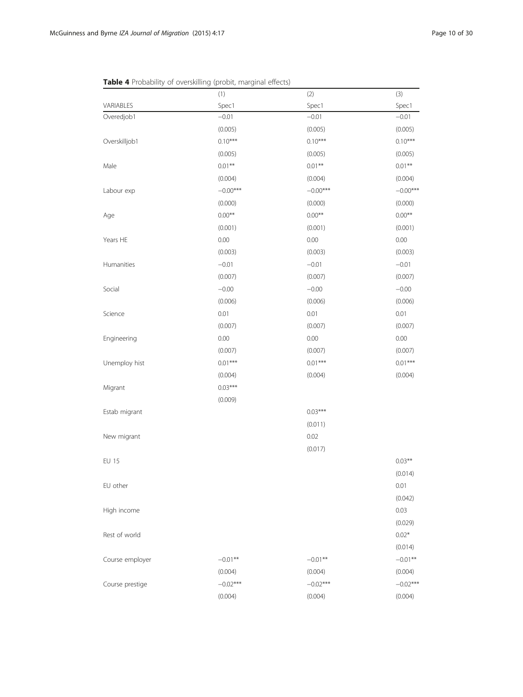<span id="page-9-0"></span>

|                 | <b>Table 4</b> Probability of overskilling (probit, marginal effects) |            |            |
|-----------------|-----------------------------------------------------------------------|------------|------------|
|                 | (1)                                                                   | (2)        | (3)        |
| VARIABLES       | Spec1                                                                 | Spec1      | Spec1      |
| Overedjob1      | $-0.01$                                                               | $-0.01$    | $-0.01$    |
|                 | (0.005)                                                               | (0.005)    | (0.005)    |
| Overskilljob1   | $0.10***$                                                             | $0.10***$  | $0.10***$  |
|                 | (0.005)                                                               | (0.005)    | (0.005)    |
| Male            | $0.01**$                                                              | $0.01**$   | $0.01**$   |
|                 | (0.004)                                                               | (0.004)    | (0.004)    |
| Labour exp      | $-0.00***$                                                            | $-0.00***$ | $-0.00***$ |
|                 | (0.000)                                                               | (0.000)    | (0.000)    |
| Age             | $0.00**$                                                              | $0.00**$   | $0.00**$   |
|                 | (0.001)                                                               | (0.001)    | (0.001)    |
| Years HE        | 0.00                                                                  | 0.00       | 0.00       |
|                 | (0.003)                                                               | (0.003)    | (0.003)    |
| Humanities      | $-0.01$                                                               | $-0.01$    | $-0.01$    |
|                 | (0.007)                                                               | (0.007)    | (0.007)    |
| Social          | $-0.00$                                                               | $-0.00$    | $-0.00$    |
|                 | (0.006)                                                               | (0.006)    | (0.006)    |
| Science         | 0.01                                                                  | 0.01       | 0.01       |
|                 | (0.007)                                                               | (0.007)    | (0.007)    |
| Engineering     | 0.00                                                                  | 0.00       | 0.00       |
|                 | (0.007)                                                               | (0.007)    | (0.007)    |
| Unemploy hist   | $0.01***$                                                             | $0.01***$  | $0.01***$  |
|                 | (0.004)                                                               | (0.004)    | (0.004)    |
| Migrant         | $0.03***$                                                             |            |            |
|                 | (0.009)                                                               |            |            |
| Estab migrant   |                                                                       | $0.03***$  |            |
|                 |                                                                       | (0.011)    |            |
| New migrant     |                                                                       | 0.02       |            |
|                 |                                                                       | (0.017)    |            |
| <b>EU 15</b>    |                                                                       |            | $0.03***$  |
|                 |                                                                       |            | (0.014)    |
| EU other        |                                                                       |            | 0.01       |
|                 |                                                                       |            | (0.042)    |
| High income     |                                                                       |            | 0.03       |
|                 |                                                                       |            | (0.029)    |
| Rest of world   |                                                                       |            | $0.02*$    |
|                 |                                                                       |            | (0.014)    |
| Course employer | $-0.01***$                                                            | $-0.01**$  | $-0.01**$  |
|                 | (0.004)                                                               | (0.004)    | (0.004)    |
| Course prestige | $-0.02***$                                                            | $-0.02***$ | $-0.02***$ |
|                 | (0.004)                                                               | (0.004)    | (0.004)    |
|                 |                                                                       |            |            |

|  |  |  |  | Table 4 Probability of overskilling (probit, marginal effects) |  |  |  |
|--|--|--|--|----------------------------------------------------------------|--|--|--|
|--|--|--|--|----------------------------------------------------------------|--|--|--|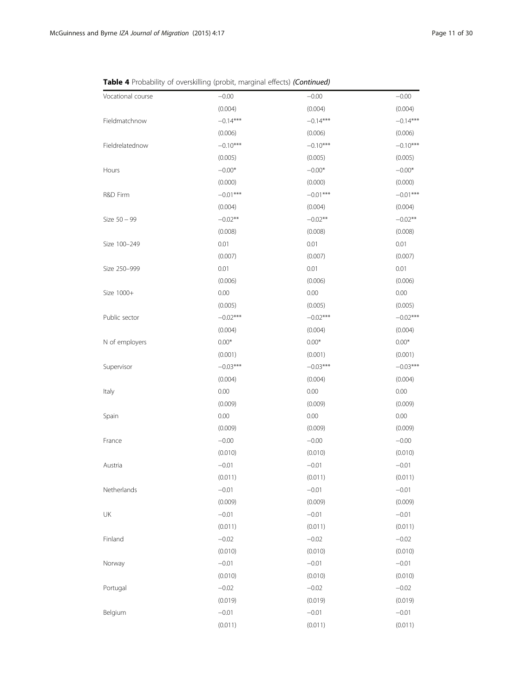| Vocational course | $-0.00$    | $-0.00$    | $-0.00$    |
|-------------------|------------|------------|------------|
|                   | (0.004)    | (0.004)    | (0.004)    |
| Fieldmatchnow     | $-0.14***$ | $-0.14***$ | $-0.14***$ |
|                   | (0.006)    | (0.006)    | (0.006)    |
| Fieldrelatednow   | $-0.10***$ | $-0.10***$ | $-0.10***$ |
|                   | (0.005)    | (0.005)    | (0.005)    |
| Hours             | $-0.00*$   | $-0.00*$   | $-0.00*$   |
|                   | (0.000)    | (0.000)    | (0.000)    |
| R&D Firm          | $-0.01***$ | $-0.01***$ | $-0.01***$ |
|                   | (0.004)    | (0.004)    | (0.004)    |
| Size 50 - 99      | $-0.02**$  | $-0.02**$  | $-0.02**$  |
|                   | (0.008)    | (0.008)    | (0.008)    |
| Size 100-249      | 0.01       | 0.01       | 0.01       |
|                   | (0.007)    | (0.007)    | (0.007)    |
| Size 250-999      | 0.01       | 0.01       | 0.01       |
|                   | (0.006)    | (0.006)    | (0.006)    |
| Size 1000+        | 0.00       | 0.00       | 0.00       |
|                   | (0.005)    | (0.005)    | (0.005)    |
| Public sector     | $-0.02***$ | $-0.02***$ | $-0.02***$ |
|                   | (0.004)    | (0.004)    | (0.004)    |
| N of employers    | $0.00*$    | $0.00*$    | $0.00*$    |
|                   | (0.001)    | (0.001)    | (0.001)    |
| Supervisor        | $-0.03***$ | $-0.03***$ | $-0.03***$ |
|                   | (0.004)    | (0.004)    | (0.004)    |
| Italy             | $0.00\,$   | 0.00       | 0.00       |
|                   | (0.009)    | (0.009)    | (0.009)    |
| Spain             | 0.00       | 0.00       | 0.00       |
|                   | (0.009)    | (0.009)    | (0.009)    |
| France            | $-0.00$    | $-0.00$    | $-0.00$    |
|                   | (0.010)    | (0.010)    | (0.010)    |
| Austria           | $-0.01$    | $-0.01$    | $-0.01$    |
|                   | (0.011)    | (0.011)    | (0.011)    |
| Netherlands       | $-0.01$    | $-0.01$    | $-0.01$    |
|                   | (0.009)    | (0.009)    | (0.009)    |
| UK                | $-0.01$    | $-0.01$    | $-0.01$    |
|                   | (0.011)    | (0.011)    | (0.011)    |
| Finland           | $-0.02$    | $-0.02$    | $-0.02$    |
|                   | (0.010)    | (0.010)    | (0.010)    |
| Norway            | $-0.01$    | $-0.01$    | $-0.01$    |
|                   | (0.010)    | (0.010)    | (0.010)    |
| Portugal          | $-0.02$    | $-0.02$    | $-0.02$    |
|                   | (0.019)    | (0.019)    | (0.019)    |
| Belgium           | $-0.01$    | $-0.01$    | $-0.01$    |
|                   | (0.011)    | (0.011)    | (0.011)    |

Table 4 Probability of overskilling (probit, marginal effects) (Continued)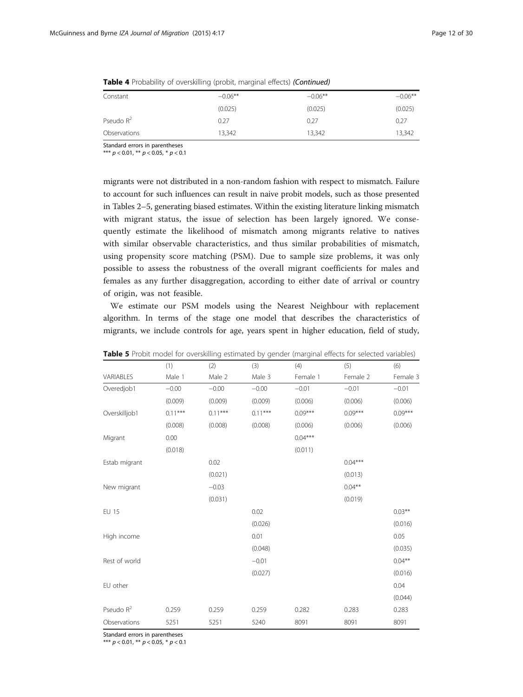| Constant     | $-0.06***$ | $-0.06***$ | $-0.06***$ |
|--------------|------------|------------|------------|
|              | (0.025)    | (0.025)    | (0.025)    |
| Pseudo $R^2$ | 0.27       | 0.27       | 0.27       |
| Observations | 13,342     | 13,342     | 13,342     |

<span id="page-11-0"></span>Table 4 Probability of overskilling (probit, marginal effects) (Continued)

\*\*\*  $p < 0.01$ , \*\*  $p < 0.05$ , \*  $p < 0.1$ 

migrants were not distributed in a non-random fashion with respect to mismatch. Failure to account for such influences can result in naive probit models, such as those presented in Tables [2](#page-6-0)–5, generating biased estimates. Within the existing literature linking mismatch with migrant status, the issue of selection has been largely ignored. We consequently estimate the likelihood of mismatch among migrants relative to natives with similar observable characteristics, and thus similar probabilities of mismatch, using propensity score matching (PSM). Due to sample size problems, it was only possible to assess the robustness of the overall migrant coefficients for males and females as any further disaggregation, according to either date of arrival or country of origin, was not feasible.

We estimate our PSM models using the Nearest Neighbour with replacement algorithm. In terms of the stage one model that describes the characteristics of migrants, we include controls for age, years spent in higher education, field of study,

|               | (1)       | (2)       | (3)       | (4)       | (5)       | (6)       |
|---------------|-----------|-----------|-----------|-----------|-----------|-----------|
| VARIABLES     | Male 1    | Male 2    | Male 3    | Female 1  | Female 2  | Female 3  |
| Overedjob1    | $-0.00$   | $-0.00$   | $-0.00$   | $-0.01$   | $-0.01$   | $-0.01$   |
|               | (0.009)   | (0.009)   | (0.009)   | (0.006)   | (0.006)   | (0.006)   |
| Overskilljob1 | $0.11***$ | $0.11***$ | $0.11***$ | $0.09***$ | $0.09***$ | $0.09***$ |
|               | (0.008)   | (0.008)   | (0.008)   | (0.006)   | (0.006)   | (0.006)   |
| Migrant       | 0.00      |           |           | $0.04***$ |           |           |
|               | (0.018)   |           |           | (0.011)   |           |           |
| Estab migrant |           | 0.02      |           |           | $0.04***$ |           |
|               |           | (0.021)   |           |           | (0.013)   |           |
| New migrant   |           | $-0.03$   |           |           | $0.04***$ |           |
|               |           | (0.031)   |           |           | (0.019)   |           |
| EU 15         |           |           | 0.02      |           |           | $0.03***$ |
|               |           |           | (0.026)   |           |           | (0.016)   |
| High income   |           |           | 0.01      |           |           | 0.05      |
|               |           |           | (0.048)   |           |           | (0.035)   |
| Rest of world |           |           | $-0.01$   |           |           | $0.04***$ |
|               |           |           | (0.027)   |           |           | (0.016)   |
| EU other      |           |           |           |           |           | 0.04      |
|               |           |           |           |           |           | (0.044)   |
| Pseudo $R^2$  | 0.259     | 0.259     | 0.259     | 0.282     | 0.283     | 0.283     |
| Observations  | 5251      | 5251      | 5240      | 8091      | 8091      | 8091      |

Table 5 Probit model for overskilling estimated by gender (marginal effects for selected variables)

Standard errors in parentheses

\*\*\*  $p < 0.01$ , \*\*  $p < 0.05$ , \*  $p < 0.1$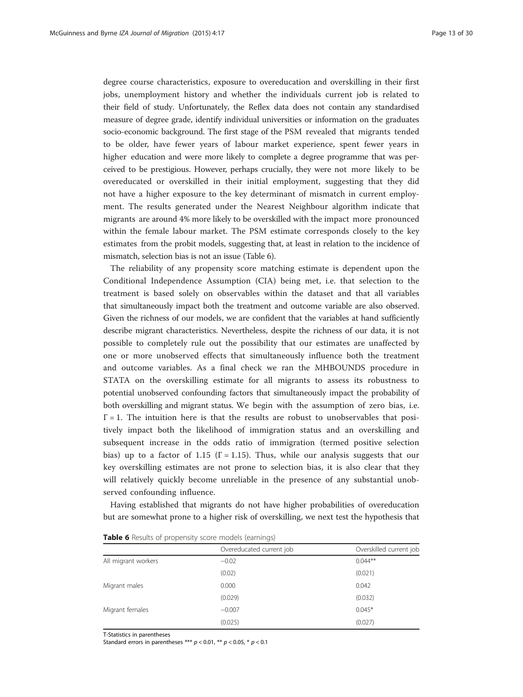degree course characteristics, exposure to overeducation and overskilling in their first jobs, unemployment history and whether the individuals current job is related to their field of study. Unfortunately, the Reflex data does not contain any standardised measure of degree grade, identify individual universities or information on the graduates socio-economic background. The first stage of the PSM revealed that migrants tended to be older, have fewer years of labour market experience, spent fewer years in higher education and were more likely to complete a degree programme that was perceived to be prestigious. However, perhaps crucially, they were not more likely to be overeducated or overskilled in their initial employment, suggesting that they did not have a higher exposure to the key determinant of mismatch in current employment. The results generated under the Nearest Neighbour algorithm indicate that migrants are around 4% more likely to be overskilled with the impact more pronounced within the female labour market. The PSM estimate corresponds closely to the key estimates from the probit models, suggesting that, at least in relation to the incidence of mismatch, selection bias is not an issue (Table 6).

The reliability of any propensity score matching estimate is dependent upon the Conditional Independence Assumption (CIA) being met, i.e. that selection to the treatment is based solely on observables within the dataset and that all variables that simultaneously impact both the treatment and outcome variable are also observed. Given the richness of our models, we are confident that the variables at hand sufficiently describe migrant characteristics. Nevertheless, despite the richness of our data, it is not possible to completely rule out the possibility that our estimates are unaffected by one or more unobserved effects that simultaneously influence both the treatment and outcome variables. As a final check we ran the MHBOUNDS procedure in STATA on the overskilling estimate for all migrants to assess its robustness to potential unobserved confounding factors that simultaneously impact the probability of both overskilling and migrant status. We begin with the assumption of zero bias, i.e.  $\Gamma = 1$ . The intuition here is that the results are robust to unobservables that positively impact both the likelihood of immigration status and an overskilling and subsequent increase in the odds ratio of immigration (termed positive selection bias) up to a factor of 1.15 ( $\Gamma = 1.15$ ). Thus, while our analysis suggests that our key overskilling estimates are not prone to selection bias, it is also clear that they will relatively quickly become unreliable in the presence of any substantial unobserved confounding influence.

Having established that migrants do not have higher probabilities of overeducation but are somewhat prone to a higher risk of overskilling, we next test the hypothesis that

|                     | Overeducated current job | Overskilled current job |
|---------------------|--------------------------|-------------------------|
| All migrant workers | $-0.02$                  | $0.044**$               |
|                     | (0.02)                   | (0.021)                 |
| Migrant males       | 0.000                    | 0.042                   |
|                     | (0.029)                  | (0.032)                 |
| Migrant females     | $-0.007$                 | $0.045*$                |
|                     | (0.025)                  | (0.027)                 |

Table 6 Results of propensity score models (earnings)

T-Statistics in parentheses

Standard errors in parentheses \*\*\*  $p < 0.01$ , \*\*  $p < 0.05$ , \*  $p < 0.1$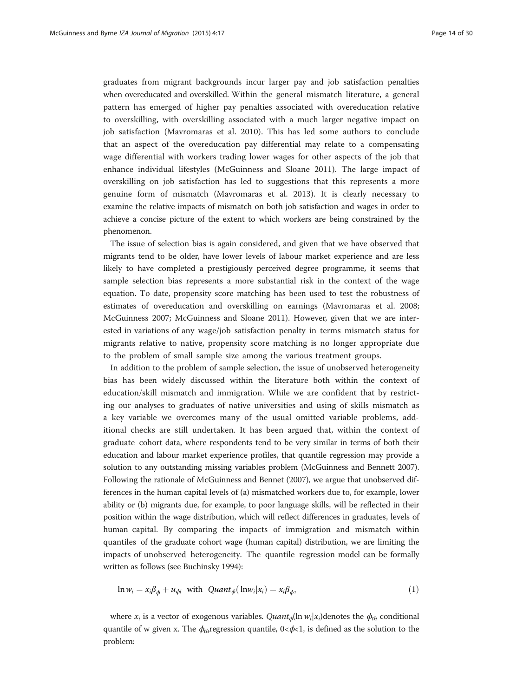<span id="page-13-0"></span>graduates from migrant backgrounds incur larger pay and job satisfaction penalties when overeducated and overskilled. Within the general mismatch literature, a general pattern has emerged of higher pay penalties associated with overeducation relative to overskilling, with overskilling associated with a much larger negative impact on job satisfaction (Mavromaras et al. [2010](#page-29-0)). This has led some authors to conclude that an aspect of the overeducation pay differential may relate to a compensating wage differential with workers trading lower wages for other aspects of the job that enhance individual lifestyles (McGuinness and Sloane [2011](#page-29-0)). The large impact of overskilling on job satisfaction has led to suggestions that this represents a more genuine form of mismatch (Mavromaras et al. 2013). It is clearly necessary to examine the relative impacts of mismatch on both job satisfaction and wages in order to achieve a concise picture of the extent to which workers are being constrained by the phenomenon.

The issue of selection bias is again considered, and given that we have observed that migrants tend to be older, have lower levels of labour market experience and are less likely to have completed a prestigiously perceived degree programme, it seems that sample selection bias represents a more substantial risk in the context of the wage equation. To date, propensity score matching has been used to test the robustness of estimates of overeducation and overskilling on earnings (Mavromaras et al. 2008; McGuinness [2007;](#page-29-0) McGuinness and Sloane [2011\)](#page-29-0). However, given that we are interested in variations of any wage/job satisfaction penalty in terms mismatch status for migrants relative to native, propensity score matching is no longer appropriate due to the problem of small sample size among the various treatment groups.

In addition to the problem of sample selection, the issue of unobserved heterogeneity bias has been widely discussed within the literature both within the context of education/skill mismatch and immigration. While we are confident that by restricting our analyses to graduates of native universities and using of skills mismatch as a key variable we overcomes many of the usual omitted variable problems, additional checks are still undertaken. It has been argued that, within the context of graduate cohort data, where respondents tend to be very similar in terms of both their education and labour market experience profiles, that quantile regression may provide a solution to any outstanding missing variables problem (McGuinness and Bennett [2007](#page-29-0)). Following the rationale of McGuinness and Bennet [\(2007\)](#page-29-0), we argue that unobserved differences in the human capital levels of (a) mismatched workers due to, for example, lower ability or (b) migrants due, for example, to poor language skills, will be reflected in their position within the wage distribution, which will reflect differences in graduates, levels of human capital. By comparing the impacts of immigration and mismatch within quantiles of the graduate cohort wage (human capital) distribution, we are limiting the impacts of unobserved heterogeneity. The quantile regression model can be formally written as follows (see Buchinsky [1994\)](#page-28-0):

$$
\ln w_i = x_i \beta_\phi + u_{\phi i} \text{ with } Quant_\phi(\ln w_i | x_i) = x_i \beta_\phi,
$$
\n(1)

where  $x_i$  is a vector of exogenous variables. Quant<sub>ϕ</sub>(ln w<sub>i</sub>|x<sub>i</sub>)denotes the  $\phi_{th}$  conditional quantile of w given x. The  $\phi_{th}$  regression quantile, 0< $\phi$ <1, is defined as the solution to the problem: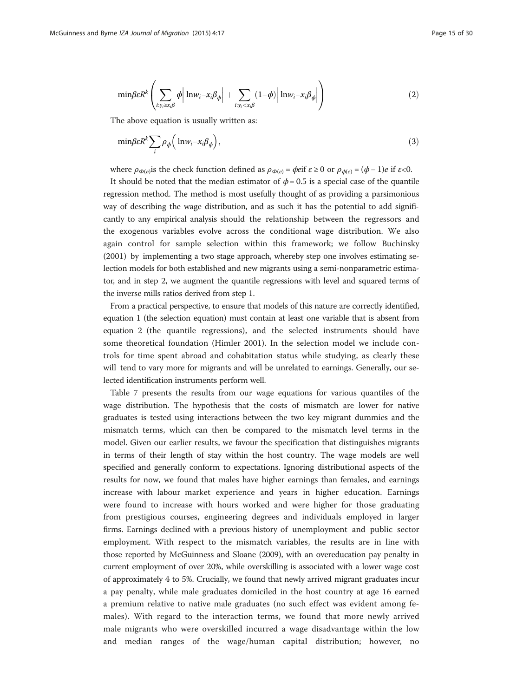$$
\min \beta \varepsilon R^k \left( \sum_{i: y_i \ge x_i \beta} \phi \middle| \ln w_i - x_i \beta_\phi \middle| + \sum_{i: y_i < x_i \beta} (1 - \phi) \middle| \ln w_i - x_i \beta_\phi \middle| \right) \tag{2}
$$

The above equation is usually written as:

$$
\min \beta \varepsilon R^k \sum_{i} \rho_{\phi} \Big( \ln w_i - x_i \beta_{\phi} \Big), \tag{3}
$$

where  $\rho_{\phi(e)}$  is the check function defined as  $\rho_{\phi(e)} = \phi e^{i\phi} \varepsilon \ge 0$  or  $\rho_{\phi(e)} = (\phi - 1)e$  if  $\varepsilon < 0$ .

It should be noted that the median estimator of  $\phi = 0.5$  is a special case of the quantile regression method. The method is most usefully thought of as providing a parsimonious way of describing the wage distribution, and as such it has the potential to add significantly to any empirical analysis should the relationship between the regressors and the exogenous variables evolve across the conditional wage distribution. We also again control for sample selection within this framework; we follow Buchinsky ([2001\)](#page-28-0) by implementing a two stage approach, whereby step one involves estimating selection models for both established and new migrants using a semi-nonparametric estimator, and in step 2, we augment the quantile regressions with level and squared terms of the inverse mills ratios derived from step 1.

From a practical perspective, to ensure that models of this nature are correctly identified, equation [1](#page-13-0) (the selection equation) must contain at least one variable that is absent from equation 2 (the quantile regressions), and the selected instruments should have some theoretical foundation (Himler [2001](#page-28-0)). In the selection model we include controls for time spent abroad and cohabitation status while studying, as clearly these will tend to vary more for migrants and will be unrelated to earnings. Generally, our selected identification instruments perform well.

Table [7](#page-15-0) presents the results from our wage equations for various quantiles of the wage distribution. The hypothesis that the costs of mismatch are lower for native graduates is tested using interactions between the two key migrant dummies and the mismatch terms, which can then be compared to the mismatch level terms in the model. Given our earlier results, we favour the specification that distinguishes migrants in terms of their length of stay within the host country. The wage models are well specified and generally conform to expectations. Ignoring distributional aspects of the results for now, we found that males have higher earnings than females, and earnings increase with labour market experience and years in higher education. Earnings were found to increase with hours worked and were higher for those graduating from prestigious courses, engineering degrees and individuals employed in larger firms. Earnings declined with a previous history of unemployment and public sector employment. With respect to the mismatch variables, the results are in line with those reported by McGuinness and Sloane (2009), with an overeducation pay penalty in current employment of over 20%, while overskilling is associated with a lower wage cost of approximately 4 to 5%. Crucially, we found that newly arrived migrant graduates incur a pay penalty, while male graduates domiciled in the host country at age 16 earned a premium relative to native male graduates (no such effect was evident among females). With regard to the interaction terms, we found that more newly arrived male migrants who were overskilled incurred a wage disadvantage within the low and median ranges of the wage/human capital distribution; however, no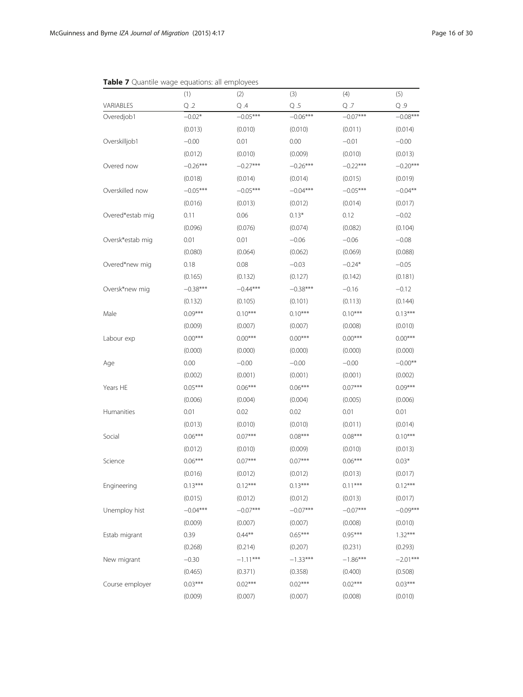|                  | (1)        | (2)        | (3)        | (4)        | (5)        |
|------------------|------------|------------|------------|------------|------------|
| VARIABLES        | Q.2        | Q.A        | Q.5        | Q.7        | Q.9        |
| Overedjob1       | $-0.02*$   | $-0.05***$ | $-0.06***$ | $-0.07***$ | $-0.08***$ |
|                  | (0.013)    | (0.010)    | (0.010)    | (0.011)    | (0.014)    |
| Overskilljob1    | $-0.00$    | 0.01       | 0.00       | $-0.01$    | $-0.00$    |
|                  | (0.012)    | (0.010)    | (0.009)    | (0.010)    | (0.013)    |
| Overed now       | $-0.26***$ | $-0.27***$ | $-0.26***$ | $-0.22***$ | $-0.20***$ |
|                  | (0.018)    | (0.014)    | (0.014)    | (0.015)    | (0.019)    |
| Overskilled now  | $-0.05***$ | $-0.05***$ | $-0.04***$ | $-0.05***$ | $-0.04***$ |
|                  | (0.016)    | (0.013)    | (0.012)    | (0.014)    | (0.017)    |
| Overed*estab mig | 0.11       | 0.06       | $0.13*$    | 0.12       | $-0.02$    |
|                  | (0.096)    | (0.076)    | (0.074)    | (0.082)    | (0.104)    |
| Oversk*estab mig | 0.01       | 0.01       | $-0.06$    | $-0.06$    | $-0.08$    |
|                  | (0.080)    | (0.064)    | (0.062)    | (0.069)    | (0.088)    |
| Overed*new mig   | 0.18       | 0.08       | $-0.03$    | $-0.24*$   | $-0.05$    |
|                  | (0.165)    | (0.132)    | (0.127)    | (0.142)    | (0.181)    |
| Oversk*new mig   | $-0.38***$ | $-0.44***$ | $-0.38***$ | $-0.16$    | $-0.12$    |
|                  | (0.132)    | (0.105)    | (0.101)    | (0.113)    | (0.144)    |
| Male             | $0.09***$  | $0.10***$  | $0.10***$  | $0.10***$  | $0.13***$  |
|                  | (0.009)    | (0.007)    | (0.007)    | (0.008)    | (0.010)    |
| Labour exp       | $0.00***$  | $0.00***$  | $0.00***$  | $0.00***$  | $0.00***$  |
|                  | (0.000)    | (0.000)    | (0.000)    | (0.000)    | (0.000)    |
| Age              | 0.00       | $-0.00$    | $-0.00$    | $-0.00$    | $-0.00**$  |
|                  | (0.002)    | (0.001)    | (0.001)    | (0.001)    | (0.002)    |
| Years HE         | $0.05***$  | $0.06***$  | $0.06***$  | $0.07***$  | $0.09***$  |
|                  | (0.006)    | (0.004)    | (0.004)    | (0.005)    | (0.006)    |
| Humanities       | 0.01       | 0.02       | 0.02       | 0.01       | 0.01       |
|                  | (0.013)    | (0.010)    | (0.010)    | (0.011)    | (0.014)    |
| Social           | $0.06***$  | $0.07***$  | $0.08***$  | $0.08***$  | $0.10***$  |
|                  | (0.012)    | (0.010)    | (0.009)    | (0.010)    | (0.013)    |
| Science          | $0.06***$  | $0.07***$  | $0.07***$  | $0.06***$  | $0.03*$    |
|                  | (0.016)    | (0.012)    | (0.012)    | (0.013)    | (0.017)    |
| Engineering      | $0.13***$  | $0.12***$  | $0.13***$  | $0.11***$  | $0.12***$  |
|                  | (0.015)    | (0.012)    | (0.012)    | (0.013)    | (0.017)    |
| Unemploy hist    | $-0.04***$ | $-0.07***$ | $-0.07***$ | $-0.07***$ | $-0.09***$ |
|                  | (0.009)    | (0.007)    | (0.007)    | (0.008)    | (0.010)    |
| Estab migrant    | 0.39       | $0.44**$   | $0.65***$  | $0.95***$  | $1.32***$  |
|                  | (0.268)    | (0.214)    | (0.207)    | (0.231)    | (0.293)    |
| New migrant      | $-0.30$    | $-1.11***$ | $-1.33***$ | $-1.86***$ | $-2.01***$ |
|                  | (0.465)    | (0.371)    | (0.358)    | (0.400)    | (0.508)    |
| Course employer  | $0.03***$  | $0.02***$  | $0.02***$  | $0.02***$  | $0.03***$  |
|                  | (0.009)    | (0.007)    | (0.007)    | (0.008)    | (0.010)    |

<span id="page-15-0"></span>Table 7 Quantile wage equations: all employees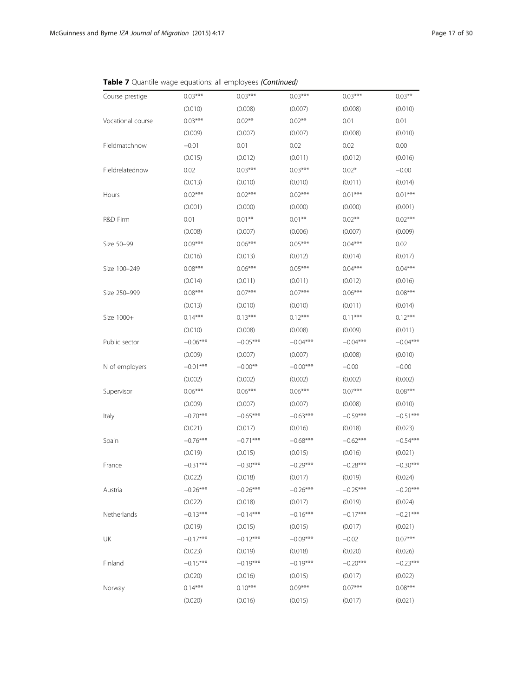Table 7 Quantile wage equations: all employees (Continued)

| Course prestige   | $0.03***$  | $0.03***$  | $0.03***$  | $0.03***$  | $0.03***$  |
|-------------------|------------|------------|------------|------------|------------|
|                   | (0.010)    | (0.008)    | (0.007)    | (0.008)    | (0.010)    |
| Vocational course | $0.03***$  | $0.02***$  | $0.02***$  | 0.01       | 0.01       |
|                   | (0.009)    | (0.007)    | (0.007)    | (0.008)    | (0.010)    |
| Fieldmatchnow     | $-0.01$    | 0.01       | 0.02       | 0.02       | 0.00       |
|                   | (0.015)    | (0.012)    | (0.011)    | (0.012)    | (0.016)    |
| Fieldrelatednow   | 0.02       | $0.03***$  | $0.03***$  | $0.02*$    | $-0.00$    |
|                   | (0.013)    | (0.010)    | (0.010)    | (0.011)    | (0.014)    |
| Hours             | $0.02***$  | $0.02***$  | $0.02***$  | $0.01***$  | $0.01***$  |
|                   | (0.001)    | (0.000)    | (0.000)    | (0.000)    | (0.001)    |
| R&D Firm          | 0.01       | $0.01***$  | $0.01***$  | $0.02***$  | $0.02***$  |
|                   | (0.008)    | (0.007)    | (0.006)    | (0.007)    | (0.009)    |
| Size 50-99        | $0.09***$  | $0.06***$  | $0.05***$  | $0.04***$  | 0.02       |
|                   | (0.016)    | (0.013)    | (0.012)    | (0.014)    | (0.017)    |
| Size 100-249      | $0.08***$  | $0.06***$  | $0.05***$  | $0.04***$  | $0.04***$  |
|                   | (0.014)    | (0.011)    | (0.011)    | (0.012)    | (0.016)    |
| Size 250-999      | $0.08***$  | $0.07***$  | $0.07***$  | $0.06***$  | $0.08***$  |
|                   | (0.013)    | (0.010)    | (0.010)    | (0.011)    | (0.014)    |
| Size 1000+        | $0.14***$  | $0.13***$  | $0.12***$  | $0.11***$  | $0.12***$  |
|                   | (0.010)    | (0.008)    | (0.008)    | (0.009)    | (0.011)    |
| Public sector     | $-0.06***$ | $-0.05***$ | $-0.04***$ | $-0.04***$ | $-0.04***$ |
|                   | (0.009)    | (0.007)    | (0.007)    | (0.008)    | (0.010)    |
| N of employers    | $-0.01***$ | $-0.00**$  | $-0.00***$ | $-0.00$    | $-0.00$    |
|                   | (0.002)    | (0.002)    | (0.002)    | (0.002)    | (0.002)    |
| Supervisor        | $0.06***$  | $0.06***$  | $0.06***$  | $0.07***$  | $0.08***$  |
|                   | (0.009)    | (0.007)    | (0.007)    | (0.008)    | (0.010)    |
| Italy             | $-0.70***$ | $-0.65***$ | $-0.63***$ | $-0.59***$ | $-0.51***$ |
|                   | (0.021)    | (0.017)    | (0.016)    | (0.018)    | (0.023)    |
| Spain             | $-0.76***$ | $-0.71***$ | $-0.68***$ | $-0.62***$ | $-0.54***$ |
|                   | (0.019)    | (0.015)    | (0.015)    | (0.016)    | (0.021)    |
| France            | $-0.31***$ | $-0.30***$ | $-0.29***$ | $-0.28***$ | $-0.30***$ |
|                   | (0.022)    | (0.018)    | (0.017)    | (0.019)    | (0.024)    |
| Austria           | $-0.26***$ | $-0.26***$ | $-0.26***$ | $-0.25***$ | $-0.20***$ |
|                   | (0.022)    | (0.018)    | (0.017)    | (0.019)    | (0.024)    |
| Netherlands       | $-0.13***$ | $-0.14***$ | $-0.16***$ | $-0.17***$ | $-0.21***$ |
|                   | (0.019)    | (0.015)    | (0.015)    | (0.017)    | (0.021)    |
| UK                | $-0.17***$ | $-0.12***$ | $-0.09***$ | $-0.02$    | $0.07***$  |
|                   | (0.023)    | (0.019)    | (0.018)    | (0.020)    | (0.026)    |
| Finland           | $-0.15***$ | $-0.19***$ | $-0.19***$ | $-0.20***$ | $-0.23***$ |
|                   | (0.020)    | (0.016)    | (0.015)    | (0.017)    | (0.022)    |
| Norway            | $0.14***$  | $0.10***$  | $0.09***$  | $0.07***$  | $0.08***$  |
|                   | (0.020)    | (0.016)    | (0.015)    | (0.017)    | (0.021)    |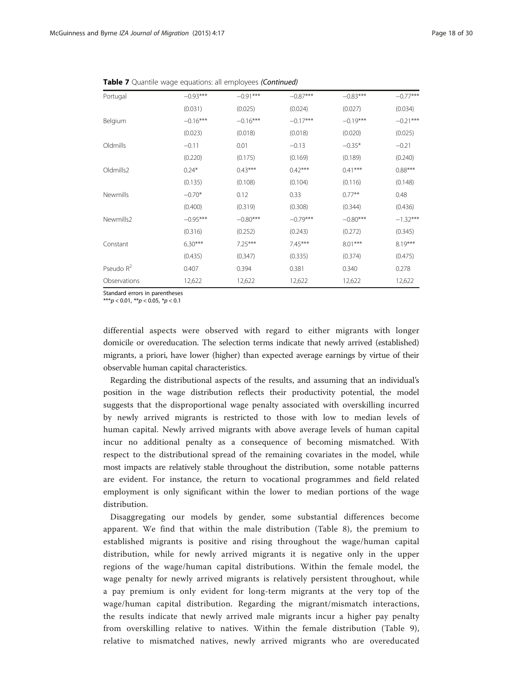| Portugal              | $-0.93***$ | $-0.91***$ | $-0.87***$ | $-0.83***$ | $-0.77***$ |
|-----------------------|------------|------------|------------|------------|------------|
|                       | (0.031)    | (0.025)    | (0.024)    | (0.027)    | (0.034)    |
| Belgium               | $-0.16***$ | $-0.16***$ | $-0.17***$ | $-0.19***$ | $-0.21***$ |
|                       | (0.023)    | (0.018)    | (0.018)    | (0.020)    | (0.025)    |
| Oldmills              | $-0.11$    | 0.01       | $-0.13$    | $-0.35*$   | $-0.21$    |
|                       | (0.220)    | (0.175)    | (0.169)    | (0.189)    | (0.240)    |
| Oldmills2             | $0.24*$    | $0.43***$  | $0.42***$  | $0.41***$  | $0.88***$  |
|                       | (0.135)    | (0.108)    | (0.104)    | (0.116)    | (0.148)    |
| <b>Newmills</b>       | $-0.70*$   | 0.12       | 0.33       | $0.77***$  | 0.48       |
|                       | (0.400)    | (0.319)    | (0.308)    | (0.344)    | (0.436)    |
| Newmills <sub>2</sub> | $-0.95***$ | $-0.80***$ | $-0.79***$ | $-0.80***$ | $-1.32***$ |
|                       | (0.316)    | (0.252)    | (0.243)    | (0.272)    | (0.345)    |
| Constant              | $6.30***$  | $7.25***$  | $7.45***$  | $8.01***$  | $8.19***$  |
|                       | (0.435)    | (0.347)    | (0.335)    | (0.374)    | (0.475)    |
| Pseudo $R^2$          | 0.407      | 0.394      | 0.381      | 0.340      | 0.278      |
| Observations          | 12,622     | 12,622     | 12,622     | 12,622     | 12,622     |

Table 7 Quantile wage equations: all employees (Continued)

\*\*\*p < 0.01, \*\*p < 0.05, \*p < 0.1

differential aspects were observed with regard to either migrants with longer domicile or overeducation. The selection terms indicate that newly arrived (established) migrants, a priori, have lower (higher) than expected average earnings by virtue of their observable human capital characteristics.

Regarding the distributional aspects of the results, and assuming that an individual's position in the wage distribution reflects their productivity potential, the model suggests that the disproportional wage penalty associated with overskilling incurred by newly arrived migrants is restricted to those with low to median levels of human capital. Newly arrived migrants with above average levels of human capital incur no additional penalty as a consequence of becoming mismatched. With respect to the distributional spread of the remaining covariates in the model, while most impacts are relatively stable throughout the distribution, some notable patterns are evident. For instance, the return to vocational programmes and field related employment is only significant within the lower to median portions of the wage distribution.

Disaggregating our models by gender, some substantial differences become apparent. We find that within the male distribution (Table [8](#page-18-0)), the premium to established migrants is positive and rising throughout the wage/human capital distribution, while for newly arrived migrants it is negative only in the upper regions of the wage/human capital distributions. Within the female model, the wage penalty for newly arrived migrants is relatively persistent throughout, while a pay premium is only evident for long-term migrants at the very top of the wage/human capital distribution. Regarding the migrant/mismatch interactions, the results indicate that newly arrived male migrants incur a higher pay penalty from overskilling relative to natives. Within the female distribution (Table [9](#page-19-0)), relative to mismatched natives, newly arrived migrants who are overeducated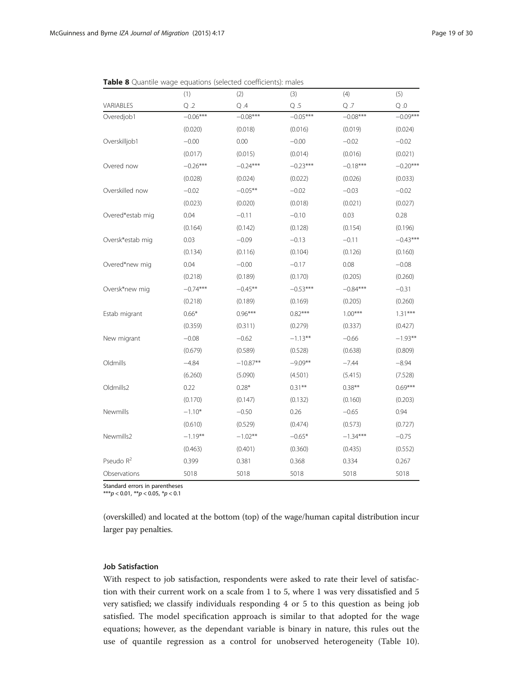|                  | (1)        | (2)        | (3)        | (4)        | (5)        |
|------------------|------------|------------|------------|------------|------------|
| VARIABLES        | Q.2        | Q.A        | Q.5        | Q.7        | Q.0        |
| Overedjob1       | $-0.06***$ | $-0.08***$ | $-0.05***$ | $-0.08***$ | $-0.09***$ |
|                  | (0.020)    | (0.018)    | (0.016)    | (0.019)    | (0.024)    |
| Overskilljob1    | $-0.00$    | 0.00       | $-0.00$    | $-0.02$    | $-0.02$    |
|                  | (0.017)    | (0.015)    | (0.014)    | (0.016)    | (0.021)    |
| Overed now       | $-0.26***$ | $-0.24***$ | $-0.23***$ | $-0.18***$ | $-0.20***$ |
|                  | (0.028)    | (0.024)    | (0.022)    | (0.026)    | (0.033)    |
| Overskilled now  | $-0.02$    | $-0.05***$ | $-0.02$    | $-0.03$    | $-0.02$    |
|                  | (0.023)    | (0.020)    | (0.018)    | (0.021)    | (0.027)    |
| Overed*estab mig | 0.04       | $-0.11$    | $-0.10$    | 0.03       | 0.28       |
|                  | (0.164)    | (0.142)    | (0.128)    | (0.154)    | (0.196)    |
| Oversk*estab mig | 0.03       | $-0.09$    | $-0.13$    | $-0.11$    | $-0.43***$ |
|                  | (0.134)    | (0.116)    | (0.104)    | (0.126)    | (0.160)    |
| Overed*new mig   | 0.04       | $-0.00$    | $-0.17$    | 0.08       | $-0.08$    |
|                  | (0.218)    | (0.189)    | (0.170)    | (0.205)    | (0.260)    |
| Oversk*new mig   | $-0.74***$ | $-0.45***$ | $-0.53***$ | $-0.84***$ | $-0.31$    |
|                  | (0.218)    | (0.189)    | (0.169)    | (0.205)    | (0.260)    |
| Estab migrant    | $0.66*$    | $0.96***$  | $0.82***$  | $1.00***$  | $1.31***$  |
|                  | (0.359)    | (0.311)    | (0.279)    | (0.337)    | (0.427)    |
| New migrant      | $-0.08$    | $-0.62$    | $-1.13***$ | $-0.66$    | $-1.93***$ |
|                  | (0.679)    | (0.589)    | (0.528)    | (0.638)    | (0.809)    |
| Oldmills         | $-4.84$    | $-10.87**$ | $-9.09**$  | $-7.44$    | $-8.94$    |
|                  | (6.260)    | (5.090)    | (4.501)    | (5.415)    | (7.528)    |
| Oldmills2        | 0.22       | $0.28*$    | $0.31***$  | $0.38***$  | $0.69***$  |
|                  | (0.170)    | (0.147)    | (0.132)    | (0.160)    | (0.203)    |
| Newmills         | $-1.10*$   | $-0.50$    | 0.26       | $-0.65$    | 0.94       |
|                  | (0.610)    | (0.529)    | (0.474)    | (0.573)    | (0.727)    |
| Newmills2        | $-1.19***$ | $-1.02**$  | $-0.65*$   | $-1.34***$ | $-0.75$    |
|                  | (0.463)    | (0.401)    | (0.360)    | (0.435)    | (0.552)    |
| Pseudo $R^2$     | 0.399      | 0.381      | 0.368      | 0.334      | 0.267      |
| Observations     | 5018       | 5018       | 5018       | 5018       | 5018       |

<span id="page-18-0"></span>Table 8 Quantile wage equations (selected coefficients): males

 $***p<0.01,$   $**p<0.05,$   $*p<0.1$ 

(overskilled) and located at the bottom (top) of the wage/human capital distribution incur larger pay penalties.

## Job Satisfaction

With respect to job satisfaction, respondents were asked to rate their level of satisfaction with their current work on a scale from 1 to 5, where 1 was very dissatisfied and 5 very satisfied; we classify individuals responding 4 or 5 to this question as being job satisfied. The model specification approach is similar to that adopted for the wage equations; however, as the dependant variable is binary in nature, this rules out the use of quantile regression as a control for unobserved heterogeneity (Table [10](#page-20-0)).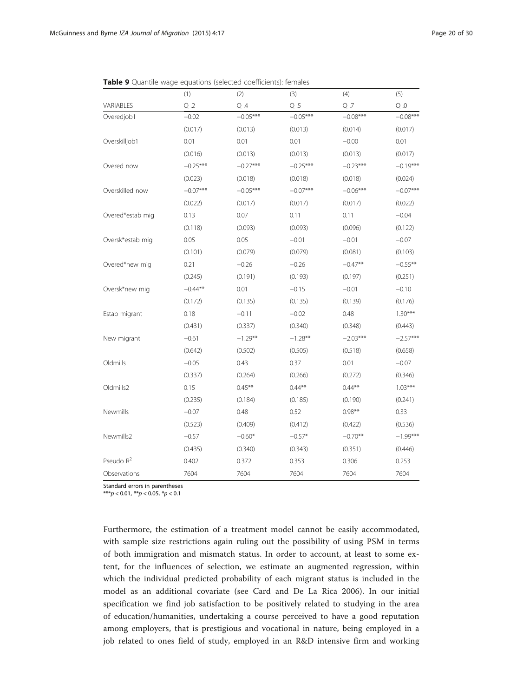|                  | (1)        | (2)        | (3)        | (4)        | (5)        |
|------------------|------------|------------|------------|------------|------------|
| VARIABLES        | Q.2        | Q.A        | Q.5        | Q.7        | Q.0        |
| Overedjob1       | $-0.02$    | $-0.05***$ | $-0.05***$ | $-0.08***$ | $-0.08***$ |
|                  | (0.017)    | (0.013)    | (0.013)    | (0.014)    | (0.017)    |
| Overskilljob1    | 0.01       | 0.01       | 0.01       | $-0.00$    | 0.01       |
|                  | (0.016)    | (0.013)    | (0.013)    | (0.013)    | (0.017)    |
| Overed now       | $-0.25***$ | $-0.27***$ | $-0.25***$ | $-0.23***$ | $-0.19***$ |
|                  | (0.023)    | (0.018)    | (0.018)    | (0.018)    | (0.024)    |
| Overskilled now  | $-0.07***$ | $-0.05***$ | $-0.07***$ | $-0.06***$ | $-0.07***$ |
|                  | (0.022)    | (0.017)    | (0.017)    | (0.017)    | (0.022)    |
| Overed*estab mig | 0.13       | 0.07       | 0.11       | 0.11       | $-0.04$    |
|                  | (0.118)    | (0.093)    | (0.093)    | (0.096)    | (0.122)    |
| Oversk*estab mig | 0.05       | 0.05       | $-0.01$    | $-0.01$    | $-0.07$    |
|                  | (0.101)    | (0.079)    | (0.079)    | (0.081)    | (0.103)    |
| Overed*new mig   | 0.21       | $-0.26$    | $-0.26$    | $-0.47**$  | $-0.55***$ |
|                  | (0.245)    | (0.191)    | (0.193)    | (0.197)    | (0.251)    |
| Oversk*new mig   | $-0.44**$  | 0.01       | $-0.15$    | $-0.01$    | $-0.10$    |
|                  | (0.172)    | (0.135)    | (0.135)    | (0.139)    | (0.176)    |
| Estab migrant    | 0.18       | $-0.11$    | $-0.02$    | 0.48       | $1.30***$  |
|                  | (0.431)    | (0.337)    | (0.340)    | (0.348)    | (0.443)    |
| New migrant      | $-0.61$    | $-1.29**$  | $-1.28**$  | $-2.03***$ | $-2.57***$ |
|                  | (0.642)    | (0.502)    | (0.505)    | (0.518)    | (0.658)    |
| Oldmills         | $-0.05$    | 0.43       | 0.37       | 0.01       | $-0.07$    |
|                  | (0.337)    | (0.264)    | (0.266)    | (0.272)    | (0.346)    |
| Oldmills2        | 0.15       | $0.45***$  | $0.44***$  | $0.44**$   | $1.03***$  |
|                  | (0.235)    | (0.184)    | (0.185)    | (0.190)    | (0.241)    |
| Newmills         | $-0.07$    | 0.48       | 0.52       | $0.98**$   | 0.33       |
|                  | (0.523)    | (0.409)    | (0.412)    | (0.422)    | (0.536)    |
| Newmills2        | $-0.57$    | $-0.60*$   | $-0.57*$   | $-0.70**$  | $-1.99***$ |
|                  | (0.435)    | (0.340)    | (0.343)    | (0.351)    | (0.446)    |
| Pseudo $R^2$     | 0.402      | 0.372      | 0.353      | 0.306      | 0.253      |
| Observations     | 7604       | 7604       | 7604       | 7604       | 7604       |

<span id="page-19-0"></span>Table 9 Quantile wage equations (selected coefficients): females

\*\*\*p < 0.01, \*\*p < 0.05, \*p < 0.1

Furthermore, the estimation of a treatment model cannot be easily accommodated, with sample size restrictions again ruling out the possibility of using PSM in terms of both immigration and mismatch status. In order to account, at least to some extent, for the influences of selection, we estimate an augmented regression, within which the individual predicted probability of each migrant status is included in the model as an additional covariate (see Card and De La Rica [2006\)](#page-28-0). In our initial specification we find job satisfaction to be positively related to studying in the area of education/humanities, undertaking a course perceived to have a good reputation among employers, that is prestigious and vocational in nature, being employed in a job related to ones field of study, employed in an R&D intensive firm and working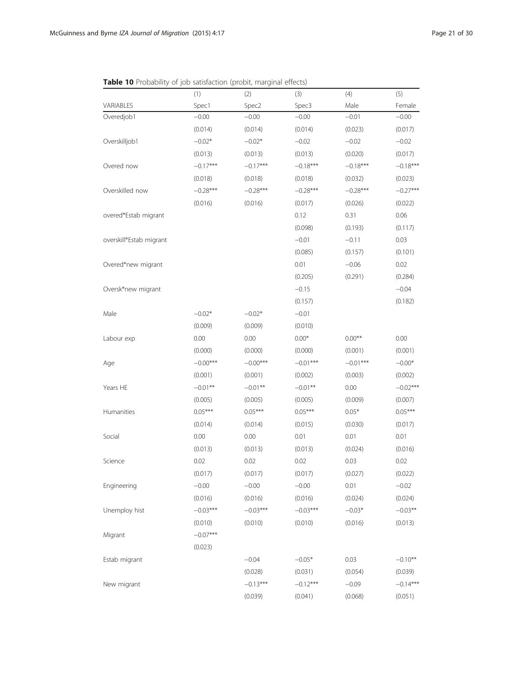|                         | (1)        | (2)        | (3)        | (4)        | (5)        |
|-------------------------|------------|------------|------------|------------|------------|
| VARIABLES               | Spec1      | Spec2      | Spec3      | Male       | Female     |
| Overedjob1              | $-0.00$    | $-0.00$    | $-0.00$    | $-0.01$    | $-0.00$    |
|                         | (0.014)    | (0.014)    | (0.014)    | (0.023)    | (0.017)    |
| Overskilljob1           | $-0.02*$   | $-0.02*$   | $-0.02$    | $-0.02$    | $-0.02$    |
|                         | (0.013)    | (0.013)    | (0.013)    | (0.020)    | (0.017)    |
| Overed now              | $-0.17***$ | $-0.17***$ | $-0.18***$ | $-0.18***$ | $-0.18***$ |
|                         | (0.018)    | (0.018)    | (0.018)    | (0.032)    | (0.023)    |
| Overskilled now         | $-0.28***$ | $-0.28***$ | $-0.28***$ | $-0.28***$ | $-0.27***$ |
|                         | (0.016)    | (0.016)    | (0.017)    | (0.026)    | (0.022)    |
| overed*Estab migrant    |            |            | 0.12       | 0.31       | 0.06       |
|                         |            |            | (0.098)    | (0.193)    | (0.117)    |
| overskill*Estab migrant |            |            | $-0.01$    | $-0.11$    | 0.03       |
|                         |            |            | (0.085)    | (0.157)    | (0.101)    |
| Overed*new migrant      |            |            | 0.01       | $-0.06$    | 0.02       |
|                         |            |            | (0.205)    | (0.291)    | (0.284)    |
| Oversk*new migrant      |            |            | $-0.15$    |            | $-0.04$    |
|                         |            |            | (0.157)    |            | (0.182)    |
| Male                    | $-0.02*$   | $-0.02*$   | $-0.01$    |            |            |
|                         | (0.009)    | (0.009)    | (0.010)    |            |            |
| Labour exp              | 0.00       | 0.00       | $0.00*$    | $0.00**$   | 0.00       |
|                         | (0.000)    | (0.000)    | (0.000)    | (0.001)    | (0.001)    |
| Age                     | $-0.00***$ | $-0.00***$ | $-0.01***$ | $-0.01***$ | $-0.00*$   |
|                         | (0.001)    | (0.001)    | (0.002)    | (0.003)    | (0.002)    |
| Years HE                | $-0.01**$  | $-0.01**$  | $-0.01**$  | 0.00       | $-0.02***$ |
|                         | (0.005)    | (0.005)    | (0.005)    | (0.009)    | (0.007)    |
| Humanities              | $0.05***$  | $0.05***$  | $0.05***$  | $0.05*$    | $0.05***$  |
|                         | (0.014)    | (0.014)    | (0.015)    | (0.030)    | (0.017)    |
| Social                  | 0.00       | 0.00       | 0.01       | 0.01       | 0.01       |
|                         | (0.013)    | (0.013)    | (0.013)    | (0.024)    | (0.016)    |
| Science                 | 0.02       | 0.02       | 0.02       | 0.03       | 0.02       |
|                         | (0.017)    | (0.017)    | (0.017)    | (0.027)    | (0.022)    |
| Engineering             | $-0.00$    | $-0.00$    | $-0.00$    | 0.01       | $-0.02$    |
|                         | (0.016)    | (0.016)    | (0.016)    | (0.024)    | (0.024)    |
| Unemploy hist           | $-0.03***$ | $-0.03***$ | $-0.03***$ | $-0.03*$   | $-0.03**$  |
|                         | (0.010)    | (0.010)    | (0.010)    | (0.016)    | (0.013)    |
| Migrant                 | $-0.07***$ |            |            |            |            |
|                         | (0.023)    |            |            |            |            |
| Estab migrant           |            | $-0.04$    | $-0.05*$   | 0.03       | $-0.10***$ |
|                         |            | (0.028)    | (0.031)    | (0.054)    | (0.039)    |
| New migrant             |            | $-0.13***$ | $-0.12***$ | $-0.09$    | $-0.14***$ |
|                         |            | (0.039)    | (0.041)    | (0.068)    | (0.051)    |

<span id="page-20-0"></span>Table 10 Probability of job satisfaction (probit, marginal effects)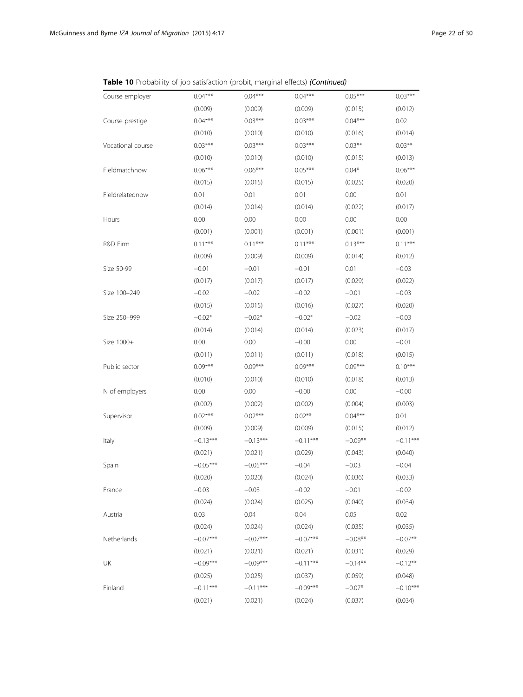| Course employer   | $0.04***$  | $0.04***$  | $0.04***$  | $0.05***$  | $0.03***$  |
|-------------------|------------|------------|------------|------------|------------|
|                   | (0.009)    | (0.009)    | (0.009)    | (0.015)    | (0.012)    |
| Course prestige   | $0.04***$  | $0.03***$  | $0.03***$  | $0.04***$  | 0.02       |
|                   | (0.010)    | (0.010)    | (0.010)    | (0.016)    | (0.014)    |
| Vocational course | $0.03***$  | $0.03***$  | $0.03***$  | $0.03***$  | $0.03***$  |
|                   | (0.010)    | (0.010)    | (0.010)    | (0.015)    | (0.013)    |
| Fieldmatchnow     | $0.06***$  | $0.06***$  | $0.05***$  | $0.04*$    | $0.06***$  |
|                   | (0.015)    | (0.015)    | (0.015)    | (0.025)    | (0.020)    |
| Fieldrelatednow   | 0.01       | 0.01       | 0.01       | 0.00       | 0.01       |
|                   | (0.014)    | (0.014)    | (0.014)    | (0.022)    | (0.017)    |
| Hours             | 0.00       | 0.00       | 0.00       | 0.00       | 0.00       |
|                   | (0.001)    | (0.001)    | (0.001)    | (0.001)    | (0.001)    |
| R&D Firm          | $0.11***$  | $0.11***$  | $0.11***$  | $0.13***$  | $0.11***$  |
|                   | (0.009)    | (0.009)    | (0.009)    | (0.014)    | (0.012)    |
| Size 50-99        | $-0.01$    | $-0.01$    | $-0.01$    | 0.01       | $-0.03$    |
|                   | (0.017)    | (0.017)    | (0.017)    | (0.029)    | (0.022)    |
| Size 100-249      | $-0.02$    | $-0.02$    | $-0.02$    | $-0.01$    | $-0.03$    |
|                   | (0.015)    | (0.015)    | (0.016)    | (0.027)    | (0.020)    |
| Size 250-999      | $-0.02*$   | $-0.02*$   | $-0.02*$   | $-0.02$    | $-0.03$    |
|                   | (0.014)    | (0.014)    | (0.014)    | (0.023)    | (0.017)    |
| Size 1000+        | 0.00       | 0.00       | $-0.00$    | 0.00       | $-0.01$    |
|                   | (0.011)    | (0.011)    | (0.011)    | (0.018)    | (0.015)    |
| Public sector     | $0.09***$  | $0.09***$  | $0.09***$  | $0.09***$  | $0.10***$  |
|                   | (0.010)    | (0.010)    | (0.010)    | (0.018)    | (0.013)    |
| N of employers    | 0.00       | 0.00       | $-0.00$    | 0.00       | $-0.00$    |
|                   | (0.002)    | (0.002)    | (0.002)    | (0.004)    | (0.003)    |
| Supervisor        | $0.02***$  | $0.02***$  | $0.02***$  | $0.04***$  | 0.01       |
|                   | (0.009)    | (0.009)    | (0.009)    | (0.015)    | (0.012)    |
| Italy             | $-0.13***$ | $-0.13***$ | $-0.11***$ | $-0.09**$  | $-0.11***$ |
|                   | (0.021)    | (0.021)    | (0.029)    | (0.043)    | (0.040)    |
| Spain             | $-0.05***$ | $-0.05***$ | $-0.04$    | $-0.03$    | $-0.04$    |
|                   | (0.020)    | (0.020)    | (0.024)    | (0.036)    | (0.033)    |
| France            | $-0.03$    | $-0.03$    | $-0.02$    | $-0.01$    | $-0.02$    |
|                   | (0.024)    | (0.024)    | (0.025)    | (0.040)    | (0.034)    |
| Austria           | 0.03       | 0.04       | 0.04       | 0.05       | 0.02       |
|                   | (0.024)    | (0.024)    | (0.024)    | (0.035)    | (0.035)    |
| Netherlands       | $-0.07***$ | $-0.07***$ | $-0.07***$ | $-0.08**$  | $-0.07**$  |
|                   | (0.021)    | (0.021)    | (0.021)    | (0.031)    | (0.029)    |
| UK                | $-0.09***$ | $-0.09***$ | $-0.11***$ | $-0.14***$ | $-0.12***$ |

(0.025) (0.025) (0.037) (0.059) (0.048)

 $(0.021)$   $(0.021)$   $(0.024)$   $(0.037)$   $(0.034)$ 

Finland −0.11\*\*\* −0.11\*\*\* −0.09\*\*\* −0.07\* −0.10\*\*\*

Table 10 Probability of job satisfaction (probit, marginal effects) (Continued)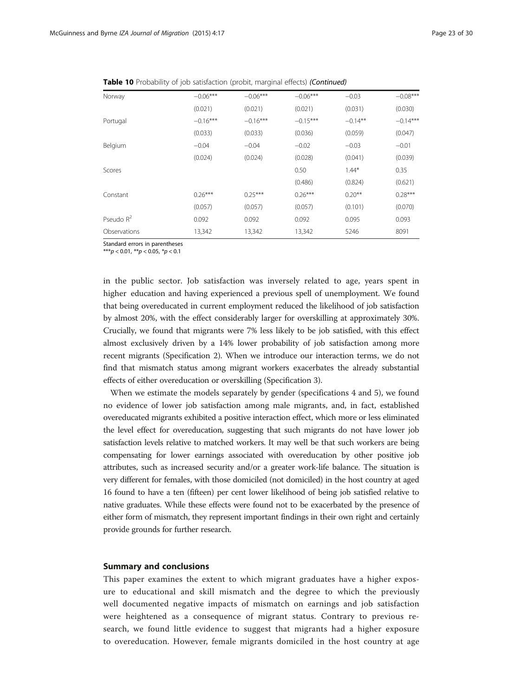| Norway       | $-0.06***$ | $-0.06***$ | $-0.06***$ | $-0.03$    | $-0.08***$ |
|--------------|------------|------------|------------|------------|------------|
|              | (0.021)    | (0.021)    | (0.021)    | (0.031)    | (0.030)    |
| Portugal     | $-0.16***$ | $-0.16***$ | $-0.15***$ | $-0.14***$ | $-0.14***$ |
|              | (0.033)    | (0.033)    | (0.036)    | (0.059)    | (0.047)    |
| Belgium      | $-0.04$    | $-0.04$    | $-0.02$    | $-0.03$    | $-0.01$    |
|              | (0.024)    | (0.024)    | (0.028)    | (0.041)    | (0.039)    |
| Scores       |            |            | 0.50       | $1.44*$    | 0.35       |
|              |            |            | (0.486)    | (0.824)    | (0.621)    |
| Constant     | $0.26***$  | $0.25***$  | $0.26***$  | $0.20**$   | $0.28***$  |
|              | (0.057)    | (0.057)    | (0.057)    | (0.101)    | (0.070)    |
| Pseudo $R^2$ | 0.092      | 0.092      | 0.092      | 0.095      | 0.093      |
| Observations | 13,342     | 13,342     | 13,342     | 5246       | 8091       |

Table 10 Probability of job satisfaction (probit, marginal effects) (Continued)

\*\*\*p < 0.01, \*\*p < 0.05, \*p < 0.1

in the public sector. Job satisfaction was inversely related to age, years spent in higher education and having experienced a previous spell of unemployment. We found that being overeducated in current employment reduced the likelihood of job satisfaction by almost 20%, with the effect considerably larger for overskilling at approximately 30%. Crucially, we found that migrants were 7% less likely to be job satisfied, with this effect almost exclusively driven by a 14% lower probability of job satisfaction among more recent migrants (Specification 2). When we introduce our interaction terms, we do not find that mismatch status among migrant workers exacerbates the already substantial effects of either overeducation or overskilling (Specification 3).

When we estimate the models separately by gender (specifications 4 and 5), we found no evidence of lower job satisfaction among male migrants, and, in fact, established overeducated migrants exhibited a positive interaction effect, which more or less eliminated the level effect for overeducation, suggesting that such migrants do not have lower job satisfaction levels relative to matched workers. It may well be that such workers are being compensating for lower earnings associated with overeducation by other positive job attributes, such as increased security and/or a greater work-life balance. The situation is very different for females, with those domiciled (not domiciled) in the host country at aged 16 found to have a ten (fifteen) per cent lower likelihood of being job satisfied relative to native graduates. While these effects were found not to be exacerbated by the presence of either form of mismatch, they represent important findings in their own right and certainly provide grounds for further research.

## Summary and conclusions

This paper examines the extent to which migrant graduates have a higher exposure to educational and skill mismatch and the degree to which the previously well documented negative impacts of mismatch on earnings and job satisfaction were heightened as a consequence of migrant status. Contrary to previous research, we found little evidence to suggest that migrants had a higher exposure to overeducation. However, female migrants domiciled in the host country at age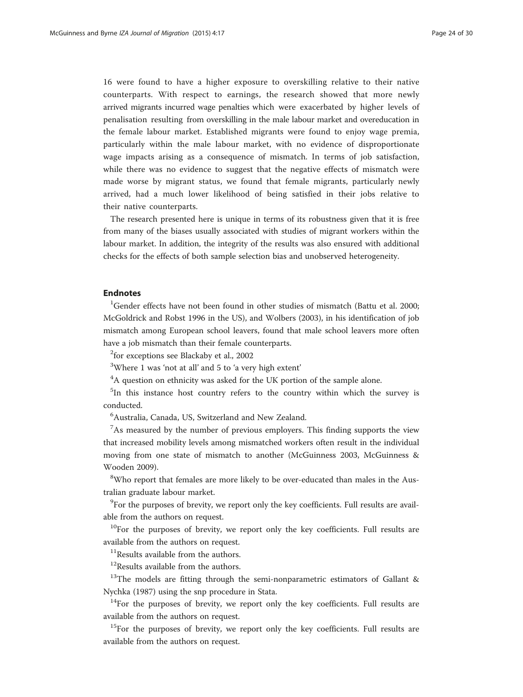16 were found to have a higher exposure to overskilling relative to their native counterparts. With respect to earnings, the research showed that more newly arrived migrants incurred wage penalties which were exacerbated by higher levels of penalisation resulting from overskilling in the male labour market and overeducation in the female labour market. Established migrants were found to enjoy wage premia, particularly within the male labour market, with no evidence of disproportionate wage impacts arising as a consequence of mismatch. In terms of job satisfaction, while there was no evidence to suggest that the negative effects of mismatch were made worse by migrant status, we found that female migrants, particularly newly arrived, had a much lower likelihood of being satisfied in their jobs relative to their native counterparts.

The research presented here is unique in terms of its robustness given that it is free from many of the biases usually associated with studies of migrant workers within the labour market. In addition, the integrity of the results was also ensured with additional checks for the effects of both sample selection bias and unobserved heterogeneity.

## Endnotes

<sup>1</sup>Gender effects have not been found in other studies of mismatch (Battu et al. 2000; McGoldrick and Robst 1996 in the US), and Wolbers [\(2003\)](#page-28-0), in his identification of job mismatch among European school leavers, found that male school leavers more often have a job mismatch than their female counterparts.

2 for exceptions see Blackaby et al., [2002](#page-28-0)

 $3$ Where 1 was 'not at all' and 5 to 'a very high extent'

<sup>4</sup>A question on ethnicity was asked for the UK portion of the sample alone.

<sup>5</sup>In this instance host country refers to the country within which the survey is conducted.

6 Australia, Canada, US, Switzerland and New Zealand.

 $7$ As measured by the number of previous employers. This finding supports the view that increased mobility levels among mismatched workers often result in the individual moving from one state of mismatch to another (McGuinness 2003, McGuinness & Wooden [2009](#page-28-0)).

<sup>8</sup>Who report that females are more likely to be over-educated than males in the Australian graduate labour market.

<sup>9</sup>For the purposes of brevity, we report only the key coefficients. Full results are available from the authors on request.

<sup>10</sup>For the purposes of brevity, we report only the key coefficients. Full results are available from the authors on request.

<sup>11</sup>Results available from the authors.

 $12$ Results available from the authors.

 $13$ The models are fitting through the semi-nonparametric estimators of Gallant & Nychka ([1987](#page-28-0)) using the snp procedure in Stata.

 $14$ For the purposes of brevity, we report only the key coefficients. Full results are available from the authors on request.

 $15$ For the purposes of brevity, we report only the key coefficients. Full results are available from the authors on request.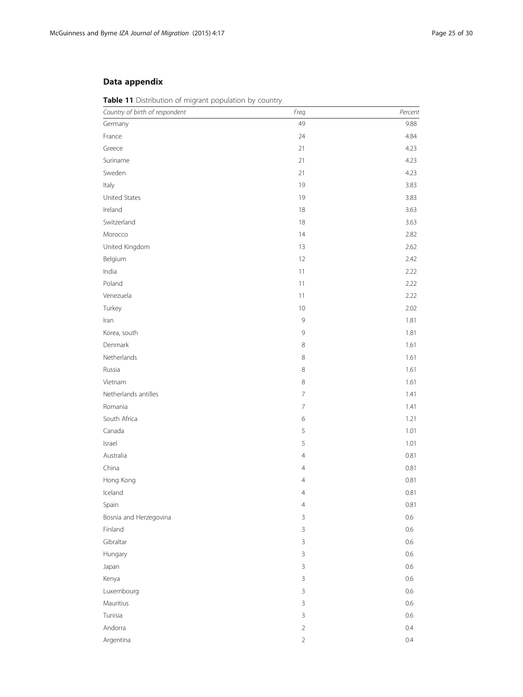# <span id="page-24-0"></span>Data appendix

Table 11 Distribution of migrant population by country

| 9.88<br>49<br>France<br>4.84<br>24<br>4.23<br>Greece<br>21<br>Suriname<br>21<br>4.23<br>Sweden<br>21<br>4.23<br>19<br>3.83<br>19<br>3.83<br>18<br>3.63<br>3.63<br>18<br>Morocco<br>14<br>2.82<br>2.62<br>13<br>Belgium<br>12<br>2.42<br>India<br>11<br>2.22<br>Poland<br>2.22<br>11<br>2.22<br>11<br>10<br>2.02<br>9<br>1.81<br>Iran<br>9<br>1.81<br>1.61<br>8<br>Netherlands<br>8<br>1.61<br>8<br>1.61<br>Vietnam<br>$\,8\,$<br>1.61<br>Netherlands antilles<br>7<br>1.41<br>Romania<br>7<br>1.41<br>South Africa<br>6<br>1.21<br>5<br>Canada<br>1.01<br>5<br>1.01<br>Australia<br>$\overline{4}$<br>0.81<br>$\overline{4}$<br>0.81<br>Hong Kong<br>$\overline{4}$<br>0.81<br>0.81<br>4<br>Spain<br>$\overline{4}$<br>0.81<br>Bosnia and Herzegovina<br>3<br>0.6<br>Finland<br>$\mathsf 3$<br>0.6<br>$\mathsf 3$<br>0.6<br>Hungary<br>$\mathsf{3}$<br>0.6<br>$\mathsf 3$<br>0.6<br>Japan<br>Kenya<br>3<br>0.6<br>3<br>0.6<br>Mauritius<br>3<br>0.6<br>Tunisia<br>$\mathsf 3$<br>0.6<br>Andorra<br>$\overline{2}$<br>0.4<br>$\overline{2}$ | Country of birth of respondent | Freq. | Percent |
|--------------------------------------------------------------------------------------------------------------------------------------------------------------------------------------------------------------------------------------------------------------------------------------------------------------------------------------------------------------------------------------------------------------------------------------------------------------------------------------------------------------------------------------------------------------------------------------------------------------------------------------------------------------------------------------------------------------------------------------------------------------------------------------------------------------------------------------------------------------------------------------------------------------------------------------------------------------------------------------------------------------------------------------------|--------------------------------|-------|---------|
|                                                                                                                                                                                                                                                                                                                                                                                                                                                                                                                                                                                                                                                                                                                                                                                                                                                                                                                                                                                                                                            | Germany                        |       |         |
|                                                                                                                                                                                                                                                                                                                                                                                                                                                                                                                                                                                                                                                                                                                                                                                                                                                                                                                                                                                                                                            |                                |       |         |
|                                                                                                                                                                                                                                                                                                                                                                                                                                                                                                                                                                                                                                                                                                                                                                                                                                                                                                                                                                                                                                            |                                |       |         |
|                                                                                                                                                                                                                                                                                                                                                                                                                                                                                                                                                                                                                                                                                                                                                                                                                                                                                                                                                                                                                                            |                                |       |         |
|                                                                                                                                                                                                                                                                                                                                                                                                                                                                                                                                                                                                                                                                                                                                                                                                                                                                                                                                                                                                                                            |                                |       |         |
|                                                                                                                                                                                                                                                                                                                                                                                                                                                                                                                                                                                                                                                                                                                                                                                                                                                                                                                                                                                                                                            | Italy                          |       |         |
|                                                                                                                                                                                                                                                                                                                                                                                                                                                                                                                                                                                                                                                                                                                                                                                                                                                                                                                                                                                                                                            | United States                  |       |         |
|                                                                                                                                                                                                                                                                                                                                                                                                                                                                                                                                                                                                                                                                                                                                                                                                                                                                                                                                                                                                                                            | Ireland                        |       |         |
|                                                                                                                                                                                                                                                                                                                                                                                                                                                                                                                                                                                                                                                                                                                                                                                                                                                                                                                                                                                                                                            | Switzerland                    |       |         |
|                                                                                                                                                                                                                                                                                                                                                                                                                                                                                                                                                                                                                                                                                                                                                                                                                                                                                                                                                                                                                                            |                                |       |         |
|                                                                                                                                                                                                                                                                                                                                                                                                                                                                                                                                                                                                                                                                                                                                                                                                                                                                                                                                                                                                                                            | United Kingdom                 |       |         |
|                                                                                                                                                                                                                                                                                                                                                                                                                                                                                                                                                                                                                                                                                                                                                                                                                                                                                                                                                                                                                                            |                                |       |         |
|                                                                                                                                                                                                                                                                                                                                                                                                                                                                                                                                                                                                                                                                                                                                                                                                                                                                                                                                                                                                                                            |                                |       |         |
|                                                                                                                                                                                                                                                                                                                                                                                                                                                                                                                                                                                                                                                                                                                                                                                                                                                                                                                                                                                                                                            |                                |       |         |
|                                                                                                                                                                                                                                                                                                                                                                                                                                                                                                                                                                                                                                                                                                                                                                                                                                                                                                                                                                                                                                            | Venezuela                      |       |         |
|                                                                                                                                                                                                                                                                                                                                                                                                                                                                                                                                                                                                                                                                                                                                                                                                                                                                                                                                                                                                                                            | Turkey                         |       |         |
|                                                                                                                                                                                                                                                                                                                                                                                                                                                                                                                                                                                                                                                                                                                                                                                                                                                                                                                                                                                                                                            |                                |       |         |
|                                                                                                                                                                                                                                                                                                                                                                                                                                                                                                                                                                                                                                                                                                                                                                                                                                                                                                                                                                                                                                            | Korea, south                   |       |         |
|                                                                                                                                                                                                                                                                                                                                                                                                                                                                                                                                                                                                                                                                                                                                                                                                                                                                                                                                                                                                                                            | Denmark                        |       |         |
|                                                                                                                                                                                                                                                                                                                                                                                                                                                                                                                                                                                                                                                                                                                                                                                                                                                                                                                                                                                                                                            |                                |       |         |
|                                                                                                                                                                                                                                                                                                                                                                                                                                                                                                                                                                                                                                                                                                                                                                                                                                                                                                                                                                                                                                            | Russia                         |       |         |
|                                                                                                                                                                                                                                                                                                                                                                                                                                                                                                                                                                                                                                                                                                                                                                                                                                                                                                                                                                                                                                            |                                |       |         |
|                                                                                                                                                                                                                                                                                                                                                                                                                                                                                                                                                                                                                                                                                                                                                                                                                                                                                                                                                                                                                                            |                                |       |         |
|                                                                                                                                                                                                                                                                                                                                                                                                                                                                                                                                                                                                                                                                                                                                                                                                                                                                                                                                                                                                                                            |                                |       |         |
|                                                                                                                                                                                                                                                                                                                                                                                                                                                                                                                                                                                                                                                                                                                                                                                                                                                                                                                                                                                                                                            |                                |       |         |
|                                                                                                                                                                                                                                                                                                                                                                                                                                                                                                                                                                                                                                                                                                                                                                                                                                                                                                                                                                                                                                            |                                |       |         |
|                                                                                                                                                                                                                                                                                                                                                                                                                                                                                                                                                                                                                                                                                                                                                                                                                                                                                                                                                                                                                                            | Israel                         |       |         |
|                                                                                                                                                                                                                                                                                                                                                                                                                                                                                                                                                                                                                                                                                                                                                                                                                                                                                                                                                                                                                                            |                                |       |         |
|                                                                                                                                                                                                                                                                                                                                                                                                                                                                                                                                                                                                                                                                                                                                                                                                                                                                                                                                                                                                                                            | China                          |       |         |
|                                                                                                                                                                                                                                                                                                                                                                                                                                                                                                                                                                                                                                                                                                                                                                                                                                                                                                                                                                                                                                            |                                |       |         |
|                                                                                                                                                                                                                                                                                                                                                                                                                                                                                                                                                                                                                                                                                                                                                                                                                                                                                                                                                                                                                                            | Iceland                        |       |         |
|                                                                                                                                                                                                                                                                                                                                                                                                                                                                                                                                                                                                                                                                                                                                                                                                                                                                                                                                                                                                                                            |                                |       |         |
|                                                                                                                                                                                                                                                                                                                                                                                                                                                                                                                                                                                                                                                                                                                                                                                                                                                                                                                                                                                                                                            |                                |       |         |
|                                                                                                                                                                                                                                                                                                                                                                                                                                                                                                                                                                                                                                                                                                                                                                                                                                                                                                                                                                                                                                            |                                |       |         |
|                                                                                                                                                                                                                                                                                                                                                                                                                                                                                                                                                                                                                                                                                                                                                                                                                                                                                                                                                                                                                                            | Gibraltar                      |       |         |
|                                                                                                                                                                                                                                                                                                                                                                                                                                                                                                                                                                                                                                                                                                                                                                                                                                                                                                                                                                                                                                            |                                |       |         |
|                                                                                                                                                                                                                                                                                                                                                                                                                                                                                                                                                                                                                                                                                                                                                                                                                                                                                                                                                                                                                                            |                                |       |         |
|                                                                                                                                                                                                                                                                                                                                                                                                                                                                                                                                                                                                                                                                                                                                                                                                                                                                                                                                                                                                                                            |                                |       |         |
|                                                                                                                                                                                                                                                                                                                                                                                                                                                                                                                                                                                                                                                                                                                                                                                                                                                                                                                                                                                                                                            | Luxembourg                     |       |         |
|                                                                                                                                                                                                                                                                                                                                                                                                                                                                                                                                                                                                                                                                                                                                                                                                                                                                                                                                                                                                                                            |                                |       |         |
|                                                                                                                                                                                                                                                                                                                                                                                                                                                                                                                                                                                                                                                                                                                                                                                                                                                                                                                                                                                                                                            |                                |       |         |
|                                                                                                                                                                                                                                                                                                                                                                                                                                                                                                                                                                                                                                                                                                                                                                                                                                                                                                                                                                                                                                            |                                |       |         |
|                                                                                                                                                                                                                                                                                                                                                                                                                                                                                                                                                                                                                                                                                                                                                                                                                                                                                                                                                                                                                                            | Argentina                      |       | 0.4     |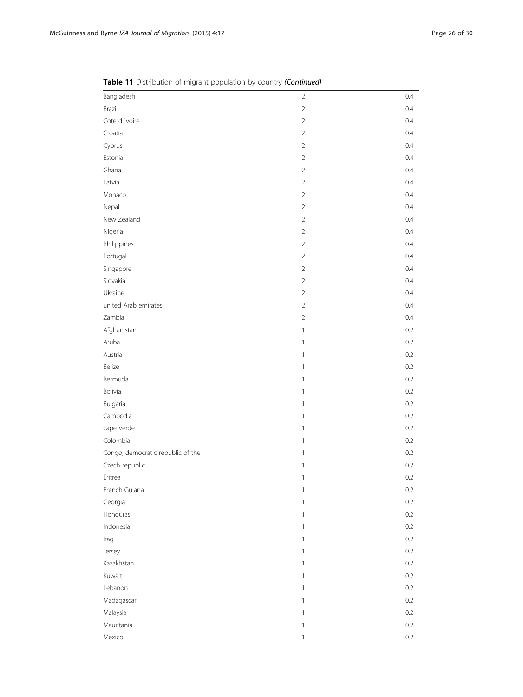| Bangladesh                        | $\overline{2}$ | 0.4 |
|-----------------------------------|----------------|-----|
| Brazil                            | $\overline{2}$ | 0.4 |
| Cote d ivoire                     | $\overline{2}$ | 0.4 |
| Croatia                           | $\overline{2}$ | 0.4 |
| Cyprus                            | $\overline{2}$ | 0.4 |
| Estonia                           | $\overline{2}$ | 0.4 |
| Ghana                             | $\overline{2}$ | 0.4 |
| Latvia                            | $\overline{2}$ | 0.4 |
| Monaco                            | $\overline{2}$ | 0.4 |
| Nepal                             | $\overline{2}$ | 0.4 |
| New Zealand                       | $\overline{2}$ | 0.4 |
| Nigeria                           | $\overline{2}$ | 0.4 |
| Philippines                       | $\overline{2}$ | 0.4 |
| Portugal                          | $\overline{2}$ | 0.4 |
| Singapore                         | $\overline{2}$ | 0.4 |
| Slovakia                          | $\overline{2}$ | 0.4 |
| Ukraine                           | $\overline{2}$ | 0.4 |
| united Arab emirates              | $\overline{2}$ | 0.4 |
| Zambia                            | $\overline{2}$ | 0.4 |
| Afghanistan                       | 1              | 0.2 |
| Aruba                             | $\mathbf{1}$   | 0.2 |
| Austria                           | 1              | 0.2 |
| Belize                            | 1              | 0.2 |
| Bermuda                           | 1              | 0.2 |
| Bolivia                           | 1              | 0.2 |
| Bulgaria                          | 1              | 0.2 |
| Cambodia                          | 1              | 0.2 |
| cape Verde                        | 1              | 0.2 |
| Colombia                          | 1              | 0.2 |
| Congo, democratic republic of the | 1              | 0.2 |
| Czech republic                    | 1              | 0.2 |
| Eritrea                           | 1              | 0.2 |
| French Guiana                     | $\mathbf{1}$   | 0.2 |
| Georgia                           | $\mathbf{1}$   | 0.2 |
| Honduras                          | $\mathbf{1}$   | 0.2 |
| Indonesia                         | $\mathbf{1}$   | 0.2 |
| Iraq                              | $\mathbf{1}$   | 0.2 |
| Jersey                            | 1              | 0.2 |
| Kazakhstan                        | $\mathbf{1}$   | 0.2 |
| Kuwait                            | $\mathbf{1}$   | 0.2 |
| Lebanon                           | $\mathbf{1}$   | 0.2 |
| Madagascar                        | $\mathbf{1}$   | 0.2 |
| Malaysia                          | $\mathbf{1}$   | 0.2 |
| Mauritania                        | $\mathbf{1}$   | 0.2 |
| Mexico                            | $\mathbf{1}$   | 0.2 |

Table 11 Distribution of migrant population by country (Continued)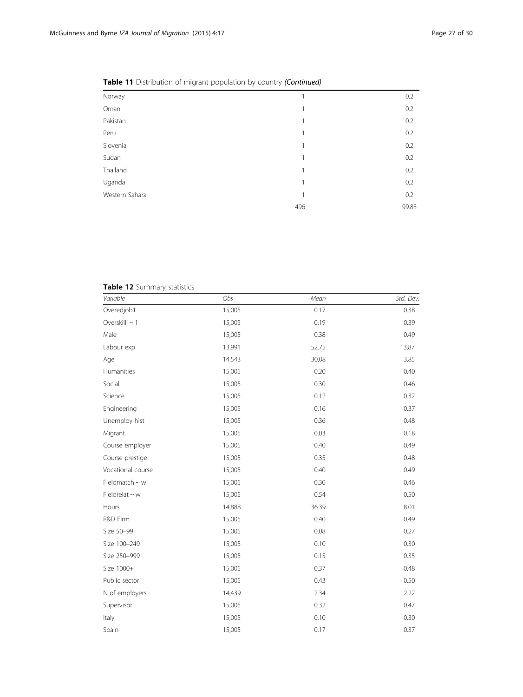<span id="page-26-0"></span>

|  |  |  | Table 11 Distribution of migrant population by country (Continued) |
|--|--|--|--------------------------------------------------------------------|
|  |  |  |                                                                    |

| Norway         |     | 0.2   |
|----------------|-----|-------|
| Oman           |     | 0.2   |
| Pakistan       |     | 0.2   |
| Peru           |     | 0.2   |
| Slovenia       |     | 0.2   |
| Sudan          | h   | 0.2   |
| Thailand       | h   | 0.2   |
| Uganda         |     | 0.2   |
| Western Sahara | и   | 0.2   |
|                | 496 | 99.83 |

# Table 12 Summary statistics

| Variable            | Obs    | Mean  | Std. Dev. |
|---------------------|--------|-------|-----------|
| Overedjob1          | 15,005 | 0.17  | 0.38      |
| Overskillj ~ 1      | 15,005 | 0.19  | 0.39      |
| Male                | 15,005 | 0.38  | 0.49      |
| Labour exp          | 13,991 | 52.75 | 13.87     |
| Age                 | 14,543 | 30.08 | 3.85      |
| Humanities          | 15,005 | 0.20  | 0.40      |
| Social              | 15,005 | 0.30  | 0.46      |
| Science             | 15,005 | 0.12  | 0.32      |
| Engineering         | 15,005 | 0.16  | 0.37      |
| Unemploy hist       | 15,005 | 0.36  | 0.48      |
| Migrant             | 15,005 | 0.03  | 0.18      |
| Course employer     | 15,005 | 0.40  | 0.49      |
| Course prestige     | 15,005 | 0.35  | 0.48      |
| Vocational course   | 15,005 | 0.40  | 0.49      |
| Fieldmatch $\sim$ w | 15,005 | 0.30  | 0.46      |
| Fieldrelat $\sim$ w | 15,005 | 0.54  | 0.50      |
| Hours               | 14,888 | 36.39 | 8.01      |
| R&D Firm            | 15,005 | 0.40  | 0.49      |
| Size 50-99          | 15,005 | 0.08  | 0.27      |
| Size 100-249        | 15,005 | 0.10  | 0.30      |
| Size 250-999        | 15,005 | 0.15  | 0.35      |
| Size 1000+          | 15,005 | 0.37  | 0.48      |
| Public sector       | 15,005 | 0.43  | 0.50      |
| N of employers      | 14,439 | 2.34  | 2.22      |
| Supervisor          | 15,005 | 0.32  | 0.47      |
| Italy               | 15,005 | 0.10  | 0.30      |
| Spain               | 15,005 | 0.17  | 0.37      |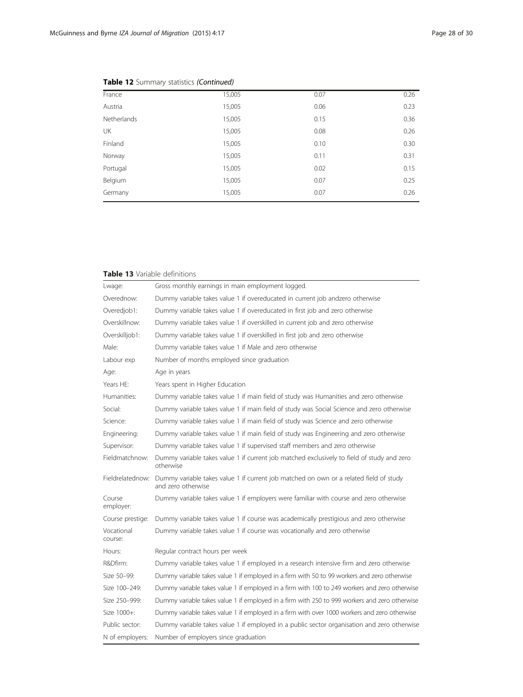| 15,005 | 0.07 | 0.26 |
|--------|------|------|
| 15,005 | 0.06 | 0.23 |
| 15,005 | 0.15 | 0.36 |
| 15,005 | 0.08 | 0.26 |
| 15,005 | 0.10 | 0.30 |
| 15,005 | 0.11 | 0.31 |
| 15,005 | 0.02 | 0.15 |
| 15,005 | 0.07 | 0.25 |
| 15,005 | 0.07 | 0.26 |
|        |      |      |

<span id="page-27-0"></span>Table 12 Summary statistics (Continued)

| Lwage:                | Gross monthly earnings in main employment logged.                                                            |
|-----------------------|--------------------------------------------------------------------------------------------------------------|
| Overednow:            | Dummy variable takes value 1 if overeducated in current job andzero otherwise                                |
| Overedjob1:           | Dummy variable takes value 1 if overeducated in first job and zero otherwise                                 |
| Overskillnow:         | Dummy variable takes value 1 if overskilled in current job and zero otherwise                                |
| Overskilljob1:        | Dummy variable takes value 1 if overskilled in first job and zero otherwise                                  |
| Male:                 | Dummy variable takes value 1 if Male and zero otherwise                                                      |
| Labour exp            | Number of months employed since graduation                                                                   |
| Age:                  | Age in years                                                                                                 |
| Years HF:             | Years spent in Higher Education                                                                              |
| Humanities:           | Dummy variable takes value 1 if main field of study was Humanities and zero otherwise                        |
| Social:               | Dummy variable takes value 1 if main field of study was Social Science and zero otherwise                    |
| Science:              | Dummy variable takes value 1 if main field of study was Science and zero otherwise                           |
| Engineering:          | Dummy variable takes value 1 if main field of study was Engineering and zero otherwise                       |
| Supervisor:           | Dummy variable takes value 1 if supervised staff members and zero otherwise                                  |
| Fieldmatchnow:        | Dummy variable takes value 1 if current job matched exclusively to field of study and zero<br>otherwise      |
| Fieldrelatednow:      | Dummy variable takes value 1 if current job matched on own or a related field of study<br>and zero otherwise |
| Course<br>employer:   | Dummy variable takes value 1 if employers were familiar with course and zero otherwise                       |
| Course prestige:      | Dummy variable takes value 1 if course was academically prestigious and zero otherwise                       |
| Vocational<br>course: | Dummy variable takes value 1 if course was vocationally and zero otherwise                                   |
| Hours:                | Regular contract hours per week                                                                              |
| R&Dfirm:              | Dummy variable takes value 1 if employed in a research intensive firm and zero otherwise                     |
| Size 50-99:           | Dummy variable takes value 1 if employed in a firm with 50 to 99 workers and zero otherwise                  |
| Size 100-249:         | Dummy variable takes value 1 if employed in a firm with 100 to 249 workers and zero otherwise                |
| Size 250-999:         | Dummy variable takes value 1 if employed in a firm with 250 to 999 workers and zero otherwise                |
| Size 1000+:           | Dummy variable takes value 1 if employed in a firm with over 1000 workers and zero otherwise                 |
| Public sector:        | Dummy variable takes value 1 if employed in a public sector organisation and zero otherwise                  |
| N of employers:       | Number of employers since graduation                                                                         |

Table 13 Variable definitions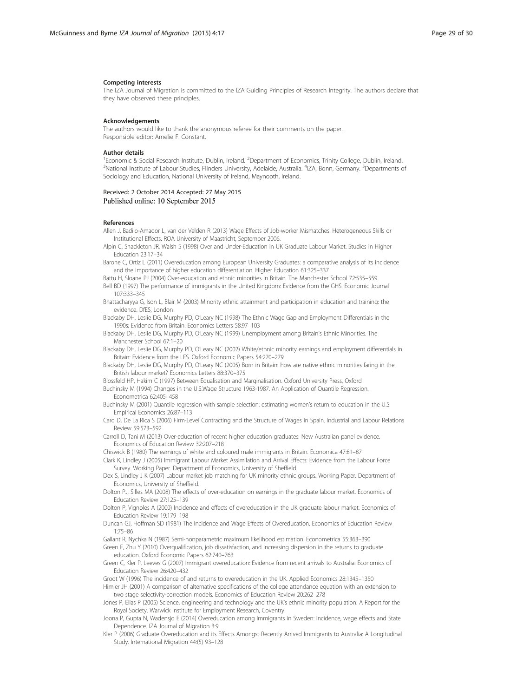#### <span id="page-28-0"></span>Competing interests

The IZA Journal of Migration is committed to the IZA Guiding Principles of Research Integrity. The authors declare that they have observed these principles.

#### Acknowledgements

The authors would like to thank the anonymous referee for their comments on the paper. Responsible editor: Amelie F. Constant.

#### Author details

<sup>1</sup> Economic & Social Research Institute, Dublin, Ireland. <sup>2</sup> Department of Economics, Trinity College, Dublin, Ireland.<br><sup>3</sup>National Institute of Labour Studies, Flinders University, Adelaide, Australia, <sup>4</sup>17A, Bonn, Ger National Institute of Labour Studies, Flinders University, Adelaide, Australia. <sup>4</sup>IZA, Bonn, Germany. <sup>5</sup>Departments of Sociology and Education, National University of Ireland, Maynooth, Ireland.

#### Received: 2 October 2014 Accepted: 27 May 2015 Published online: 10 September 2015

#### References

- Allen J, Badilo-Amador L, van der Velden R (2013) Wage Effects of Job-worker Mismatches. Heterogeneous Skills or Institutional Effects. ROA University of Maastricht, September 2006.
- Alpin C, Shackleton JR, Walsh S (1998) Over and Under-Education in UK Graduate Labour Market. Studies in Higher Education 23:17–34
- Barone C, Ortiz L (2011) Overeducation among European University Graduates: a comparative analysis of its incidence and the importance of higher education differentiation. Higher Education 61:325–337
- Battu H, Sloane PJ (2004) Over-education and ethnic minorities in Britain. The Manchester School 72:535–559
- Bell BD (1997) The performance of immigrants in the United Kingdom: Evidence from the GHS. Economic Journal 107:333–345
- Bhattacharyya G, Ison L, Blair M (2003) Minority ethnic attainment and participation in education and training: the evidence. DfES, London
- Blackaby DH, Leslie DG, Murphy PD, O'Leary NC (1998) The Ethnic Wage Gap and Employment Differentials in the 1990s: Evidence from Britain. Economics Letters 58:97–103

Blackaby DH, Leslie DG, Murphy PD, O'Leary NC (1999) Unemployment among Britain's Ethnic Minorities. The Manchester School 67:1–20

- Blackaby DH, Leslie DG, Murphy PD, O'Leary NC (2002) White/ethnic minority earnings and employment differentials in Britain: Evidence from the LFS. Oxford Economic Papers 54:270–279
- Blackaby DH, Leslie DG, Murphy PD, O'Leary NC (2005) Born in Britain: how are native ethnic minorities faring in the British labour market? Economics Letters 88:370–375
- Blossfeld HP, Hakim C (1997) Between Equalisation and Marginalisation. Oxford University Press, Oxford
- Buchinsky M (1994) Changes in the U.S.Wage Structure 1963-1987. An Application of Quantile Regression. Econometrica 62:405–458
- Buchinsky M (2001) Quantile regression with sample selection: estimating women's return to education in the U.S. Empirical Economics 26:87–113
- Card D, De La Rica S (2006) Firm-Level Contracting and the Structure of Wages in Spain. Industrial and Labour Relations Review 59:573–592
- Carroll D, Tani M (2013) Over-education of recent higher education graduates: New Australian panel evidence. Economics of Education Review 32:207–218

Chiswick B (1980) The earnings of white and coloured male immigrants in Britain. Economica 47:81–87

- Clark K, Lindley J (2005) Immigrant Labour Market Assimilation and Arrival Effects: Evidence from the Labour Force Survey. Working Paper. Department of Economics, University of Sheffield.
- Dex S, Lindley J K (2007) Labour market job matching for UK minority ethnic groups. Working Paper. Department of Economics, University of Sheffield.
- Dolton PJ, Silles MA (2008) The effects of over-education on earnings in the graduate labour market. Economics of Education Review 27:125–139
- Dolton P, Vignoles A (2000) Incidence and effects of overeducation in the UK graduate labour market. Economics of Education Review 19:179–198
- Duncan GJ, Hoffman SD (1981) The Incidence and Wage Effects of Overeducation. Economics of Education Review 1:75–86
- Gallant R, Nychka N (1987) Semi-nonparametric maximum likelihood estimation. Econometrica 55:363–390
- Green F, Zhu Y (2010) Overqualification, job dissatisfaction, and increasing dispersion in the returns to graduate education. Oxford Economic Papers 62:740–763
- Green C, Kler P, Leeves G (2007) Immigrant overeducation: Evidence from recent arrivals to Australia. Economics of Education Review 26:420–432
- Groot W (1996) The incidence of and returns to overeducation in the UK. Applied Economics 28:1345–1350
- Himler JH (2001) A comparison of alternative specifications of the college attendance equation with an extension to two stage selectivity-correction models. Economics of Education Review 20:262–278
- Jones P, Elias P (2005) Science, engineering and technology and the UK's ethnic minority population: A Report for the Royal Society. Warwick Institute for Employment Research, Coventry
- Joona P, Gupta N, Wadensjo E (2014) Overeducation among Immigrants in Sweden: Incidence, wage effects and State Dependence. IZA Journal of Migration 3:9
- Kler P (2006) Graduate Overeducation and its Effects Amongst Recently Arrived Immigrants to Australia: A Longitudinal Study. International Migration 44:(5) 93–128